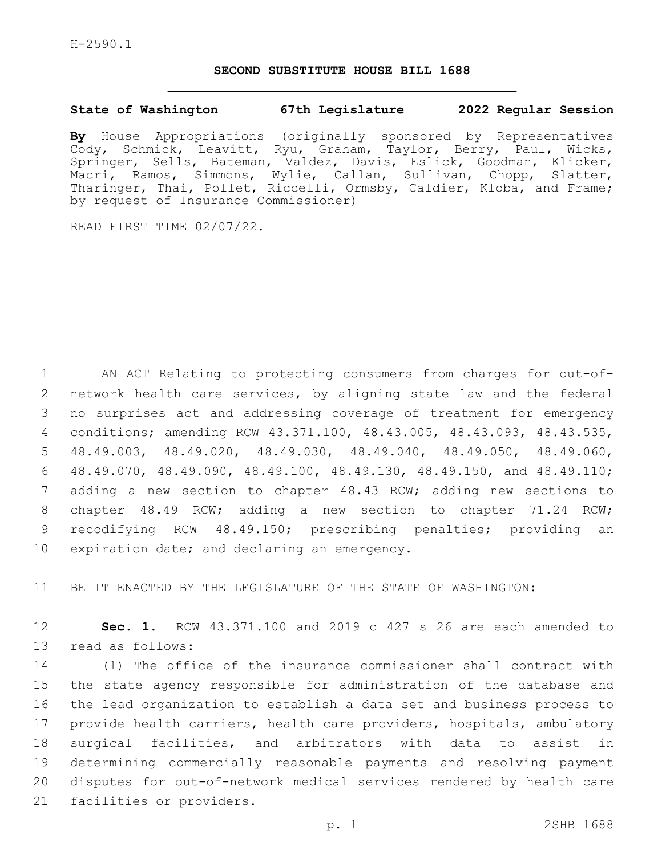## **SECOND SUBSTITUTE HOUSE BILL 1688**

## **State of Washington 67th Legislature 2022 Regular Session**

**By** House Appropriations (originally sponsored by Representatives Cody, Schmick, Leavitt, Ryu, Graham, Taylor, Berry, Paul, Wicks, Springer, Sells, Bateman, Valdez, Davis, Eslick, Goodman, Klicker, Macri, Ramos, Simmons, Wylie, Callan, Sullivan, Chopp, Slatter, Tharinger, Thai, Pollet, Riccelli, Ormsby, Caldier, Kloba, and Frame; by request of Insurance Commissioner)

READ FIRST TIME 02/07/22.

 AN ACT Relating to protecting consumers from charges for out-of- network health care services, by aligning state law and the federal no surprises act and addressing coverage of treatment for emergency conditions; amending RCW 43.371.100, 48.43.005, 48.43.093, 48.43.535, 48.49.003, 48.49.020, 48.49.030, 48.49.040, 48.49.050, 48.49.060, 48.49.070, 48.49.090, 48.49.100, 48.49.130, 48.49.150, and 48.49.110; adding a new section to chapter 48.43 RCW; adding new sections to chapter 48.49 RCW; adding a new section to chapter 71.24 RCW; recodifying RCW 48.49.150; prescribing penalties; providing an 10 expiration date; and declaring an emergency.

11 BE IT ENACTED BY THE LEGISLATURE OF THE STATE OF WASHINGTON:

12 **Sec. 1.** RCW 43.371.100 and 2019 c 427 s 26 are each amended to 13 read as follows:

 (1) The office of the insurance commissioner shall contract with the state agency responsible for administration of the database and the lead organization to establish a data set and business process to provide health carriers, health care providers, hospitals, ambulatory surgical facilities, and arbitrators with data to assist in determining commercially reasonable payments and resolving payment disputes for out-of-network medical services rendered by health care 21 facilities or providers.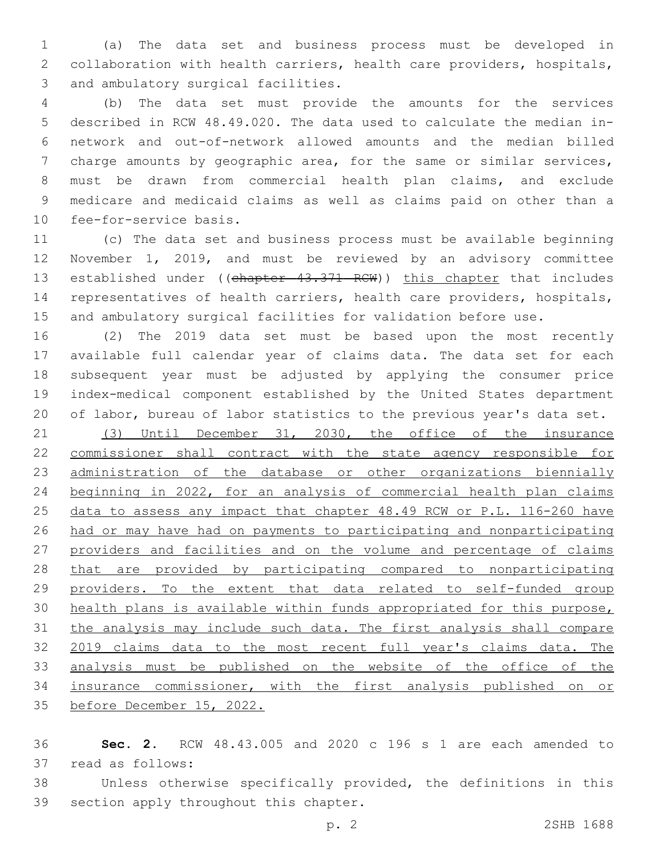(a) The data set and business process must be developed in collaboration with health carriers, health care providers, hospitals, 3 and ambulatory surgical facilities.

 (b) The data set must provide the amounts for the services described in RCW 48.49.020. The data used to calculate the median in- network and out-of-network allowed amounts and the median billed charge amounts by geographic area, for the same or similar services, must be drawn from commercial health plan claims, and exclude medicare and medicaid claims as well as claims paid on other than a 10 fee-for-service basis.

 (c) The data set and business process must be available beginning November 1, 2019, and must be reviewed by an advisory committee 13 established under ((chapter 43.371 RCW)) this chapter that includes representatives of health carriers, health care providers, hospitals, and ambulatory surgical facilities for validation before use.

 (2) The 2019 data set must be based upon the most recently available full calendar year of claims data. The data set for each subsequent year must be adjusted by applying the consumer price index-medical component established by the United States department of labor, bureau of labor statistics to the previous year's data set.

 (3) Until December 31, 2030, the office of the insurance commissioner shall contract with the state agency responsible for administration of the database or other organizations biennially beginning in 2022, for an analysis of commercial health plan claims data to assess any impact that chapter 48.49 RCW or P.L. 116-260 have had or may have had on payments to participating and nonparticipating providers and facilities and on the volume and percentage of claims that are provided by participating compared to nonparticipating providers. To the extent that data related to self-funded group health plans is available within funds appropriated for this purpose, the analysis may include such data. The first analysis shall compare 2019 claims data to the most recent full year's claims data. The analysis must be published on the website of the office of the insurance commissioner, with the first analysis published on or before December 15, 2022.

 **Sec. 2.** RCW 48.43.005 and 2020 c 196 s 1 are each amended to 37 read as follows:

 Unless otherwise specifically provided, the definitions in this 39 section apply throughout this chapter.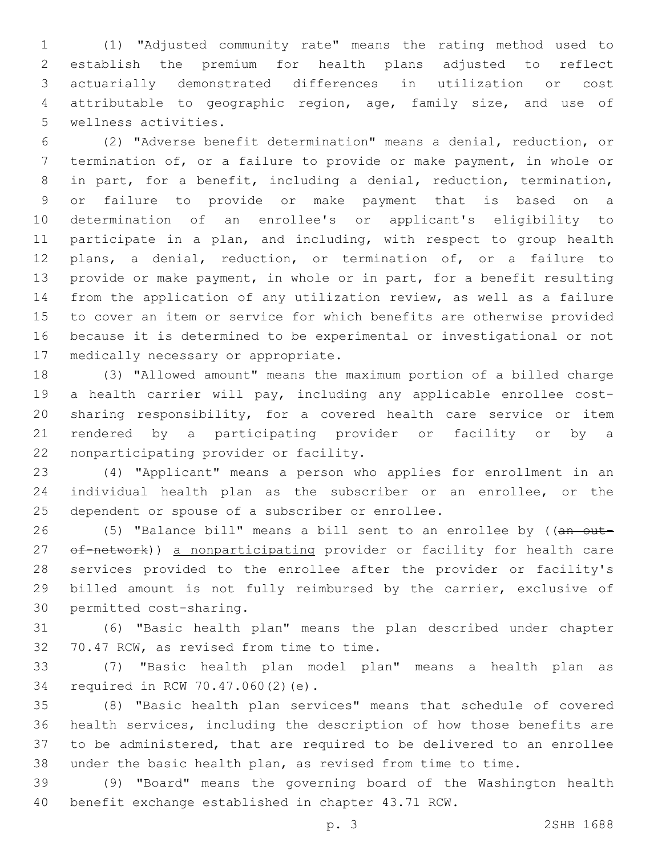(1) "Adjusted community rate" means the rating method used to establish the premium for health plans adjusted to reflect actuarially demonstrated differences in utilization or cost attributable to geographic region, age, family size, and use of 5 wellness activities.

 (2) "Adverse benefit determination" means a denial, reduction, or termination of, or a failure to provide or make payment, in whole or in part, for a benefit, including a denial, reduction, termination, or failure to provide or make payment that is based on a determination of an enrollee's or applicant's eligibility to participate in a plan, and including, with respect to group health plans, a denial, reduction, or termination of, or a failure to provide or make payment, in whole or in part, for a benefit resulting from the application of any utilization review, as well as a failure to cover an item or service for which benefits are otherwise provided because it is determined to be experimental or investigational or not 17 medically necessary or appropriate.

 (3) "Allowed amount" means the maximum portion of a billed charge a health carrier will pay, including any applicable enrollee cost- sharing responsibility, for a covered health care service or item rendered by a participating provider or facility or by a 22 nonparticipating provider or facility.

 (4) "Applicant" means a person who applies for enrollment in an individual health plan as the subscriber or an enrollee, or the 25 dependent or spouse of a subscriber or enrollee.

26 (5) "Balance bill" means a bill sent to an enrollee by ((an out-27 of-network)) a nonparticipating provider or facility for health care services provided to the enrollee after the provider or facility's billed amount is not fully reimbursed by the carrier, exclusive of 30 permitted cost-sharing.

 (6) "Basic health plan" means the plan described under chapter 32 70.47 RCW, as revised from time to time.

 (7) "Basic health plan model plan" means a health plan as 34 required in RCW 70.47.060(2)(e).

 (8) "Basic health plan services" means that schedule of covered health services, including the description of how those benefits are to be administered, that are required to be delivered to an enrollee under the basic health plan, as revised from time to time.

 (9) "Board" means the governing board of the Washington health benefit exchange established in chapter 43.71 RCW.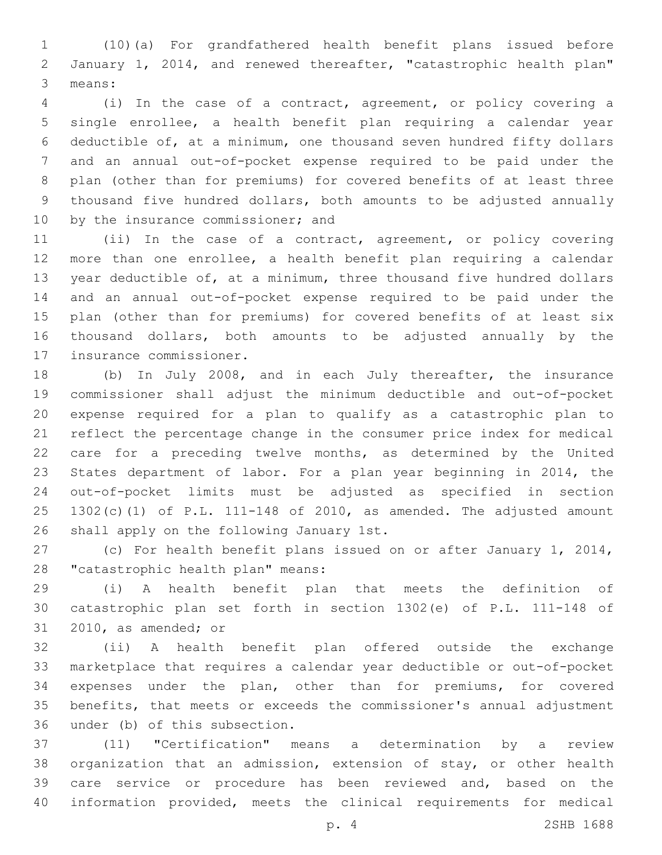(10)(a) For grandfathered health benefit plans issued before January 1, 2014, and renewed thereafter, "catastrophic health plan" 3 means:

 (i) In the case of a contract, agreement, or policy covering a single enrollee, a health benefit plan requiring a calendar year deductible of, at a minimum, one thousand seven hundred fifty dollars and an annual out-of-pocket expense required to be paid under the plan (other than for premiums) for covered benefits of at least three thousand five hundred dollars, both amounts to be adjusted annually 10 by the insurance commissioner; and

 (ii) In the case of a contract, agreement, or policy covering more than one enrollee, a health benefit plan requiring a calendar year deductible of, at a minimum, three thousand five hundred dollars and an annual out-of-pocket expense required to be paid under the plan (other than for premiums) for covered benefits of at least six thousand dollars, both amounts to be adjusted annually by the 17 insurance commissioner.

 (b) In July 2008, and in each July thereafter, the insurance commissioner shall adjust the minimum deductible and out-of-pocket expense required for a plan to qualify as a catastrophic plan to reflect the percentage change in the consumer price index for medical care for a preceding twelve months, as determined by the United States department of labor. For a plan year beginning in 2014, the out-of-pocket limits must be adjusted as specified in section 1302(c)(1) of P.L. 111-148 of 2010, as amended. The adjusted amount 26 shall apply on the following January 1st.

 (c) For health benefit plans issued on or after January 1, 2014, 28 "catastrophic health plan" means:

 (i) A health benefit plan that meets the definition of catastrophic plan set forth in section 1302(e) of P.L. 111-148 of 31 2010, as amended; or

 (ii) A health benefit plan offered outside the exchange marketplace that requires a calendar year deductible or out-of-pocket expenses under the plan, other than for premiums, for covered benefits, that meets or exceeds the commissioner's annual adjustment 36 under (b) of this subsection.

 (11) "Certification" means a determination by a review organization that an admission, extension of stay, or other health care service or procedure has been reviewed and, based on the information provided, meets the clinical requirements for medical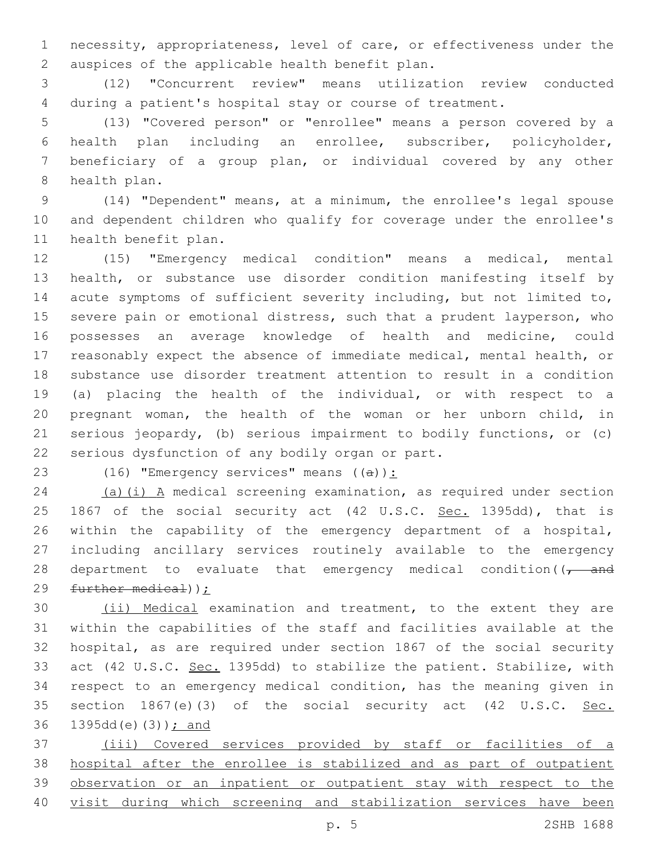necessity, appropriateness, level of care, or effectiveness under the 2 auspices of the applicable health benefit plan.

 (12) "Concurrent review" means utilization review conducted during a patient's hospital stay or course of treatment.

 (13) "Covered person" or "enrollee" means a person covered by a health plan including an enrollee, subscriber, policyholder, beneficiary of a group plan, or individual covered by any other 8 health plan.

 (14) "Dependent" means, at a minimum, the enrollee's legal spouse and dependent children who qualify for coverage under the enrollee's 11 health benefit plan.

 (15) "Emergency medical condition" means a medical, mental health, or substance use disorder condition manifesting itself by acute symptoms of sufficient severity including, but not limited to, severe pain or emotional distress, such that a prudent layperson, who possesses an average knowledge of health and medicine, could reasonably expect the absence of immediate medical, mental health, or substance use disorder treatment attention to result in a condition (a) placing the health of the individual, or with respect to a pregnant woman, the health of the woman or her unborn child, in serious jeopardy, (b) serious impairment to bodily functions, or (c) 22 serious dysfunction of any bodily organ or part.

23 (16) "Emergency services" means  $((a))$ :

 (a)(i) A medical screening examination, as required under section 25 1867 of the social security act (42 U.S.C. Sec. 1395dd), that is within the capability of the emergency department of a hospital, including ancillary services routinely available to the emergency 28 department to evaluate that emergency medical condition( $\sqrt{1 - \text{and}}$ further medical));

 (ii) Medical examination and treatment, to the extent they are within the capabilities of the staff and facilities available at the hospital, as are required under section 1867 of the social security act (42 U.S.C. Sec. 1395dd) to stabilize the patient. Stabilize, with respect to an emergency medical condition, has the meaning given in 35 section 1867(e)(3) of the social security act (42 U.S.C. Sec. 36 1395dd(e)(3)); and

 (iii) Covered services provided by staff or facilities of a hospital after the enrollee is stabilized and as part of outpatient observation or an inpatient or outpatient stay with respect to the visit during which screening and stabilization services have been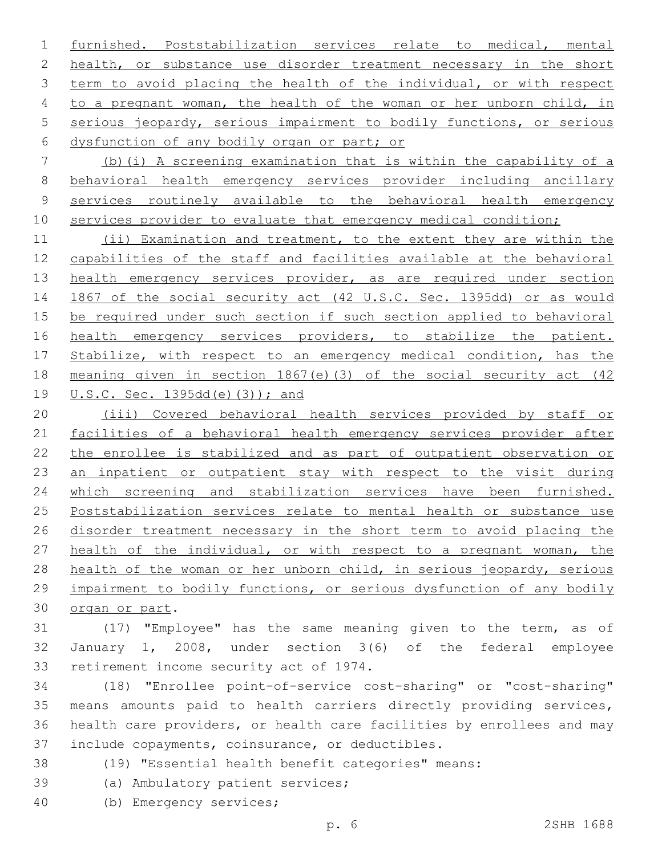furnished. Poststabilization services relate to medical, mental 2 health, or substance use disorder treatment necessary in the short term to avoid placing the health of the individual, or with respect to a pregnant woman, the health of the woman or her unborn child, in serious jeopardy, serious impairment to bodily functions, or serious 6 dysfunction of any bodily organ or part; or

 (b)(i) A screening examination that is within the capability of a behavioral health emergency services provider including ancillary services routinely available to the behavioral health emergency 10 services provider to evaluate that emergency medical condition;

 (ii) Examination and treatment, to the extent they are within the capabilities of the staff and facilities available at the behavioral 13 health emergency services provider, as are required under section 1867 of the social security act (42 U.S.C. Sec. 1395dd) or as would be required under such section if such section applied to behavioral 16 health emergency services providers, to stabilize the patient. 17 Stabilize, with respect to an emergency medical condition, has the meaning given in section 1867(e)(3) of the social security act (42 U.S.C. Sec. 1395dd(e)(3)); and

 (iii) Covered behavioral health services provided by staff or facilities of a behavioral health emergency services provider after the enrollee is stabilized and as part of outpatient observation or an inpatient or outpatient stay with respect to the visit during which screening and stabilization services have been furnished. Poststabilization services relate to mental health or substance use disorder treatment necessary in the short term to avoid placing the health of the individual, or with respect to a pregnant woman, the health of the woman or her unborn child, in serious jeopardy, serious impairment to bodily functions, or serious dysfunction of any bodily 30 organ or part.

 (17) "Employee" has the same meaning given to the term, as of January 1, 2008, under section 3(6) of the federal employee 33 retirement income security act of 1974.

 (18) "Enrollee point-of-service cost-sharing" or "cost-sharing" means amounts paid to health carriers directly providing services, health care providers, or health care facilities by enrollees and may 37 include copayments, coinsurance, or deductibles.

- (19) "Essential health benefit categories" means:
- 39 (a) Ambulatory patient services;
- (b) Emergency services;40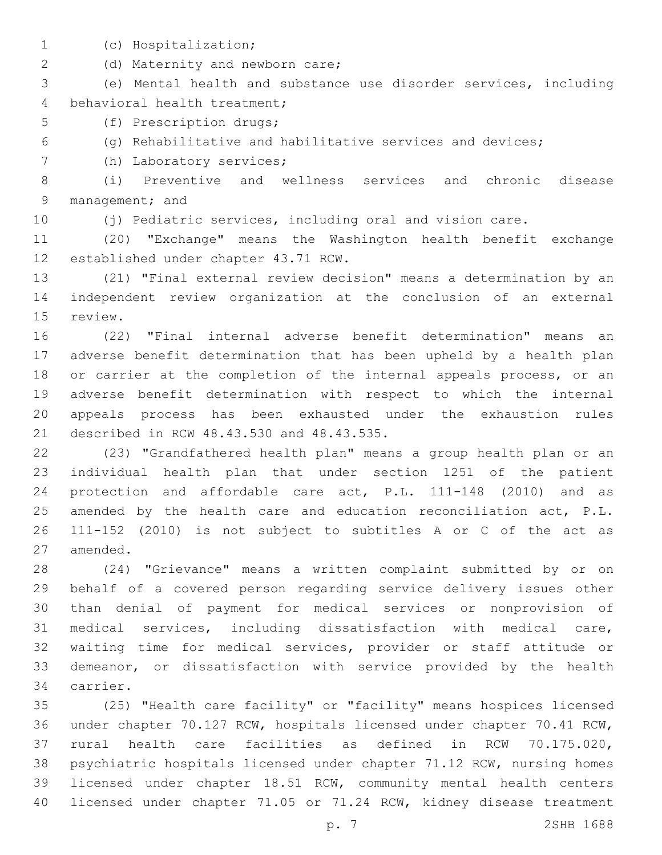- 
- (c) Hospitalization;1

2 (d) Maternity and newborn care;

 (e) Mental health and substance use disorder services, including 4 behavioral health treatment;

5 (f) Prescription drugs;

(g) Rehabilitative and habilitative services and devices;

7 (h) Laboratory services;

 (i) Preventive and wellness services and chronic disease 9 management; and

(j) Pediatric services, including oral and vision care.

 (20) "Exchange" means the Washington health benefit exchange 12 established under chapter 43.71 RCW.

 (21) "Final external review decision" means a determination by an independent review organization at the conclusion of an external 15 review.

 (22) "Final internal adverse benefit determination" means an adverse benefit determination that has been upheld by a health plan or carrier at the completion of the internal appeals process, or an adverse benefit determination with respect to which the internal appeals process has been exhausted under the exhaustion rules 21 described in RCW 48.43.530 and 48.43.535.

 (23) "Grandfathered health plan" means a group health plan or an individual health plan that under section 1251 of the patient protection and affordable care act, P.L. 111-148 (2010) and as 25 amended by the health care and education reconciliation act, P.L. 111-152 (2010) is not subject to subtitles A or C of the act as 27 amended.

 (24) "Grievance" means a written complaint submitted by or on behalf of a covered person regarding service delivery issues other than denial of payment for medical services or nonprovision of medical services, including dissatisfaction with medical care, waiting time for medical services, provider or staff attitude or demeanor, or dissatisfaction with service provided by the health 34 carrier.

 (25) "Health care facility" or "facility" means hospices licensed under chapter 70.127 RCW, hospitals licensed under chapter 70.41 RCW, rural health care facilities as defined in RCW 70.175.020, psychiatric hospitals licensed under chapter 71.12 RCW, nursing homes licensed under chapter 18.51 RCW, community mental health centers licensed under chapter 71.05 or 71.24 RCW, kidney disease treatment

p. 7 2SHB 1688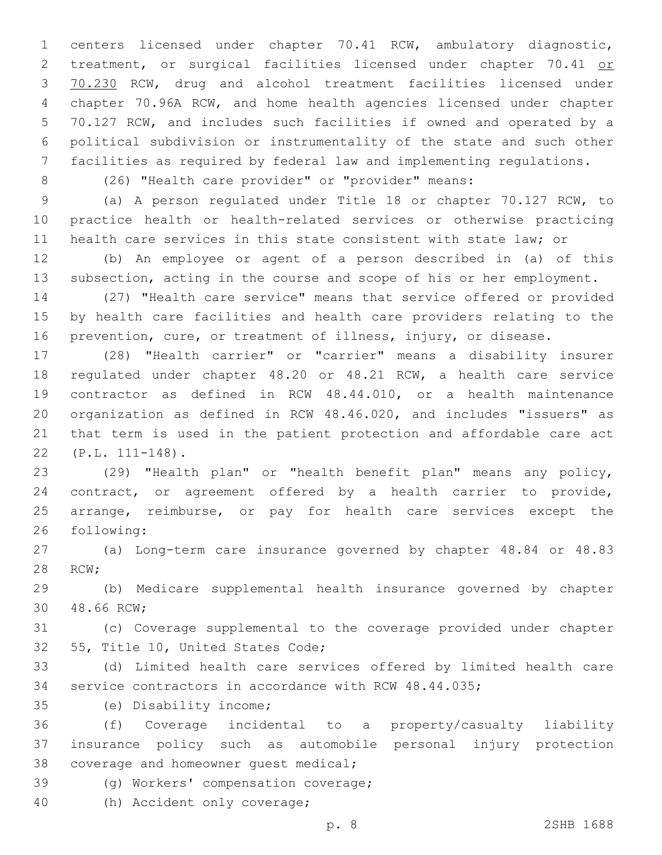centers licensed under chapter 70.41 RCW, ambulatory diagnostic, 2 treatment, or surgical facilities licensed under chapter 70.41 or 70.230 RCW, drug and alcohol treatment facilities licensed under chapter 70.96A RCW, and home health agencies licensed under chapter 70.127 RCW, and includes such facilities if owned and operated by a political subdivision or instrumentality of the state and such other facilities as required by federal law and implementing regulations.

(26) "Health care provider" or "provider" means:

 (a) A person regulated under Title 18 or chapter 70.127 RCW, to practice health or health-related services or otherwise practicing health care services in this state consistent with state law; or

 (b) An employee or agent of a person described in (a) of this subsection, acting in the course and scope of his or her employment.

 (27) "Health care service" means that service offered or provided by health care facilities and health care providers relating to the prevention, cure, or treatment of illness, injury, or disease.

 (28) "Health carrier" or "carrier" means a disability insurer regulated under chapter 48.20 or 48.21 RCW, a health care service contractor as defined in RCW 48.44.010, or a health maintenance organization as defined in RCW 48.46.020, and includes "issuers" as that term is used in the patient protection and affordable care act (P.L. 111-148).22

 (29) "Health plan" or "health benefit plan" means any policy, contract, or agreement offered by a health carrier to provide, arrange, reimburse, or pay for health care services except the 26 following:

 (a) Long-term care insurance governed by chapter 48.84 or 48.83 28 RCW;

 (b) Medicare supplemental health insurance governed by chapter 30 48.66 RCW;

 (c) Coverage supplemental to the coverage provided under chapter 32 55, Title 10, United States Code;

 (d) Limited health care services offered by limited health care service contractors in accordance with RCW 48.44.035;

(e) Disability income;35

 (f) Coverage incidental to a property/casualty liability insurance policy such as automobile personal injury protection 38 coverage and homeowner quest medical;

39 (g) Workers' compensation coverage;

40 (h) Accident only coverage;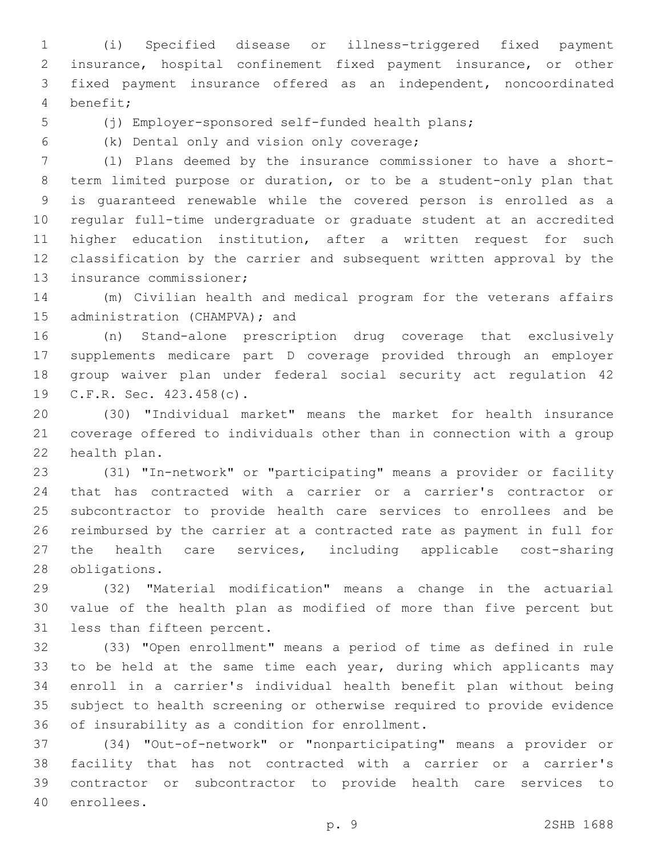(i) Specified disease or illness-triggered fixed payment insurance, hospital confinement fixed payment insurance, or other fixed payment insurance offered as an independent, noncoordinated benefit;4

(j) Employer-sponsored self-funded health plans;

(k) Dental only and vision only coverage;6

 (l) Plans deemed by the insurance commissioner to have a short- term limited purpose or duration, or to be a student-only plan that is guaranteed renewable while the covered person is enrolled as a regular full-time undergraduate or graduate student at an accredited higher education institution, after a written request for such classification by the carrier and subsequent written approval by the 13 insurance commissioner;

 (m) Civilian health and medical program for the veterans affairs 15 administration (CHAMPVA); and

 (n) Stand-alone prescription drug coverage that exclusively supplements medicare part D coverage provided through an employer group waiver plan under federal social security act regulation 42 19 C.F.R. Sec. 423.458(c).

 (30) "Individual market" means the market for health insurance coverage offered to individuals other than in connection with a group 22 health plan.

 (31) "In-network" or "participating" means a provider or facility that has contracted with a carrier or a carrier's contractor or subcontractor to provide health care services to enrollees and be reimbursed by the carrier at a contracted rate as payment in full for the health care services, including applicable cost-sharing 28 obligations.

 (32) "Material modification" means a change in the actuarial value of the health plan as modified of more than five percent but 31 less than fifteen percent.

 (33) "Open enrollment" means a period of time as defined in rule 33 to be held at the same time each year, during which applicants may enroll in a carrier's individual health benefit plan without being subject to health screening or otherwise required to provide evidence 36 of insurability as a condition for enrollment.

 (34) "Out-of-network" or "nonparticipating" means a provider or facility that has not contracted with a carrier or a carrier's contractor or subcontractor to provide health care services to 40 enrollees.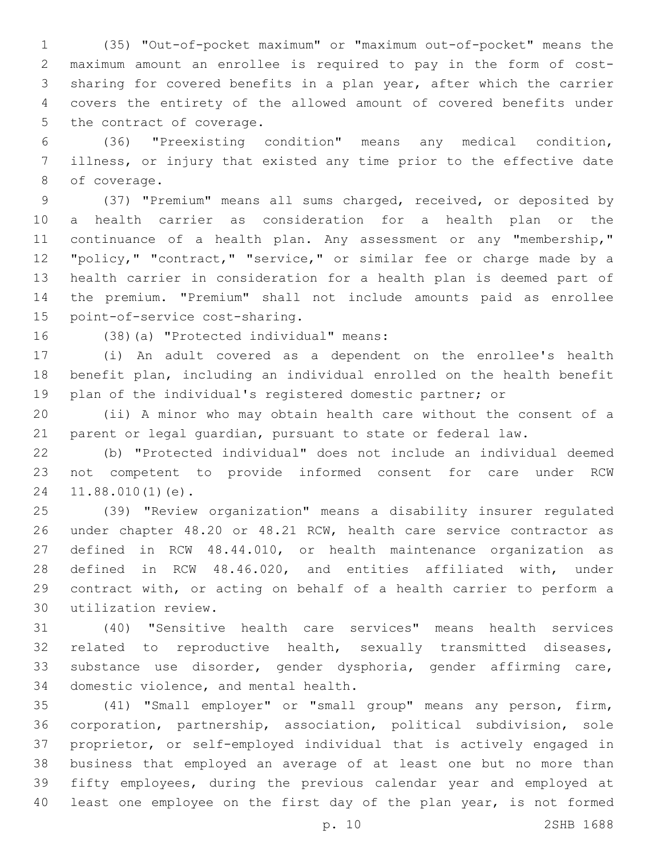(35) "Out-of-pocket maximum" or "maximum out-of-pocket" means the maximum amount an enrollee is required to pay in the form of cost- sharing for covered benefits in a plan year, after which the carrier covers the entirety of the allowed amount of covered benefits under 5 the contract of coverage.

 (36) "Preexisting condition" means any medical condition, illness, or injury that existed any time prior to the effective date 8 of coverage.

 (37) "Premium" means all sums charged, received, or deposited by a health carrier as consideration for a health plan or the 11 continuance of a health plan. Any assessment or any "membership," "policy," "contract," "service," or similar fee or charge made by a health carrier in consideration for a health plan is deemed part of the premium. "Premium" shall not include amounts paid as enrollee 15 point-of-service cost-sharing.

16 (38)(a) "Protected individual" means:

 (i) An adult covered as a dependent on the enrollee's health benefit plan, including an individual enrolled on the health benefit plan of the individual's registered domestic partner; or

 (ii) A minor who may obtain health care without the consent of a parent or legal guardian, pursuant to state or federal law.

 (b) "Protected individual" does not include an individual deemed not competent to provide informed consent for care under RCW 24 11.88.010(1)(e).

 (39) "Review organization" means a disability insurer regulated under chapter 48.20 or 48.21 RCW, health care service contractor as defined in RCW 48.44.010, or health maintenance organization as defined in RCW 48.46.020, and entities affiliated with, under contract with, or acting on behalf of a health carrier to perform a utilization review.30

 (40) "Sensitive health care services" means health services related to reproductive health, sexually transmitted diseases, substance use disorder, gender dysphoria, gender affirming care, 34 domestic violence, and mental health.

 (41) "Small employer" or "small group" means any person, firm, corporation, partnership, association, political subdivision, sole proprietor, or self-employed individual that is actively engaged in business that employed an average of at least one but no more than fifty employees, during the previous calendar year and employed at least one employee on the first day of the plan year, is not formed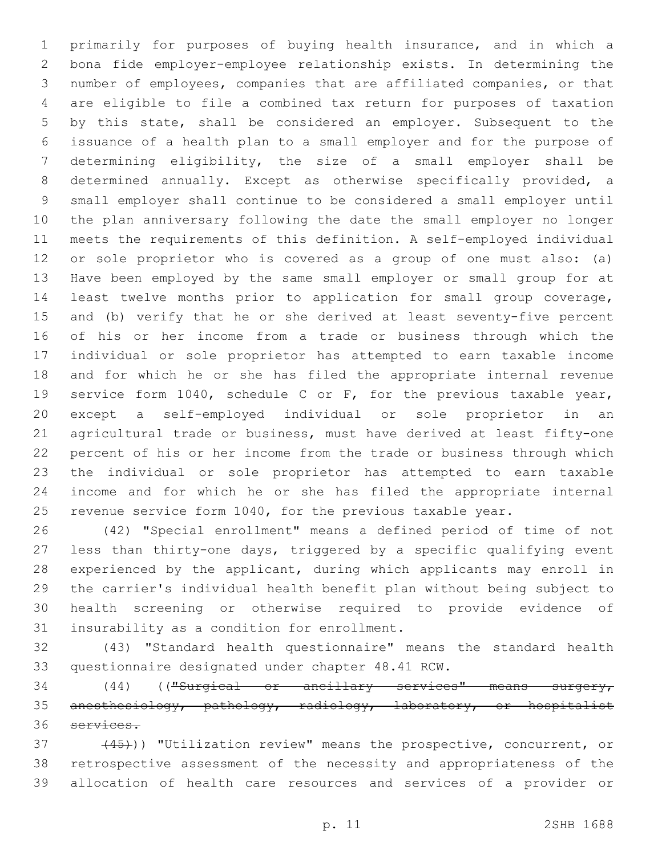primarily for purposes of buying health insurance, and in which a bona fide employer-employee relationship exists. In determining the number of employees, companies that are affiliated companies, or that are eligible to file a combined tax return for purposes of taxation by this state, shall be considered an employer. Subsequent to the issuance of a health plan to a small employer and for the purpose of determining eligibility, the size of a small employer shall be determined annually. Except as otherwise specifically provided, a small employer shall continue to be considered a small employer until the plan anniversary following the date the small employer no longer meets the requirements of this definition. A self-employed individual or sole proprietor who is covered as a group of one must also: (a) Have been employed by the same small employer or small group for at least twelve months prior to application for small group coverage, and (b) verify that he or she derived at least seventy-five percent of his or her income from a trade or business through which the individual or sole proprietor has attempted to earn taxable income and for which he or she has filed the appropriate internal revenue service form 1040, schedule C or F, for the previous taxable year, except a self-employed individual or sole proprietor in an agricultural trade or business, must have derived at least fifty-one percent of his or her income from the trade or business through which the individual or sole proprietor has attempted to earn taxable income and for which he or she has filed the appropriate internal 25 revenue service form 1040, for the previous taxable year.

 (42) "Special enrollment" means a defined period of time of not less than thirty-one days, triggered by a specific qualifying event experienced by the applicant, during which applicants may enroll in the carrier's individual health benefit plan without being subject to health screening or otherwise required to provide evidence of 31 insurability as a condition for enrollment.

 (43) "Standard health questionnaire" means the standard health 33 questionnaire designated under chapter 48.41 RCW.

 (44) (("Surgical or ancillary services" means surgery, anesthesiology, pathology, radiology, laboratory, or hospitalist services.

37 (45)) "Utilization review" means the prospective, concurrent, or retrospective assessment of the necessity and appropriateness of the allocation of health care resources and services of a provider or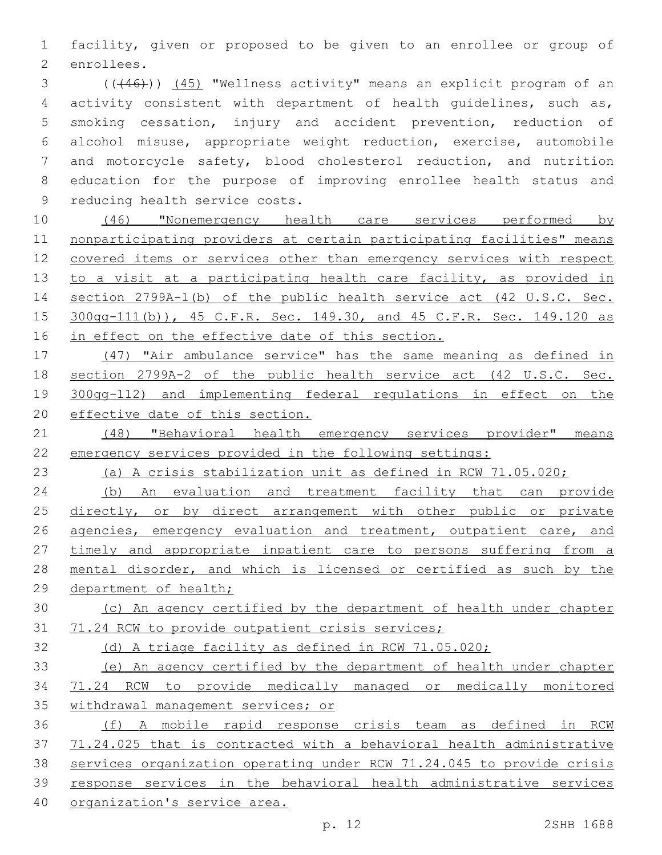facility, given or proposed to be given to an enrollee or group of 2 enrollees.

 (((46))) (45) "Wellness activity" means an explicit program of an activity consistent with department of health guidelines, such as, smoking cessation, injury and accident prevention, reduction of alcohol misuse, appropriate weight reduction, exercise, automobile and motorcycle safety, blood cholesterol reduction, and nutrition education for the purpose of improving enrollee health status and 9 reducing health service costs.

 (46) "Nonemergency health care services performed by nonparticipating providers at certain participating facilities" means covered items or services other than emergency services with respect 13 to a visit at a participating health care facility, as provided in section 2799A-1(b) of the public health service act (42 U.S.C. Sec. 300gg-111(b)), 45 C.F.R. Sec. 149.30, and 45 C.F.R. Sec. 149.120 as 16 in effect on the effective date of this section.

 (47) "Air ambulance service" has the same meaning as defined in section 2799A-2 of the public health service act (42 U.S.C. Sec. 300gg-112) and implementing federal regulations in effect on the effective date of this section.

21 (48) "Behavioral health emergency services provider" means emergency services provided in the following settings:

(a) A crisis stabilization unit as defined in RCW 71.05.020;

 (b) An evaluation and treatment facility that can provide 25 directly, or by direct arrangement with other public or private 26 agencies, emergency evaluation and treatment, outpatient care, and 27 timely and appropriate inpatient care to persons suffering from a mental disorder, and which is licensed or certified as such by the 29 department of health;

 (c) An agency certified by the department of health under chapter 71.24 RCW to provide outpatient crisis services;

(d) A triage facility as defined in RCW 71.05.020;

 (e) An agency certified by the department of health under chapter 71.24 RCW to provide medically managed or medically monitored withdrawal management services; or

 (f) A mobile rapid response crisis team as defined in RCW 71.24.025 that is contracted with a behavioral health administrative services organization operating under RCW 71.24.045 to provide crisis response services in the behavioral health administrative services organization's service area.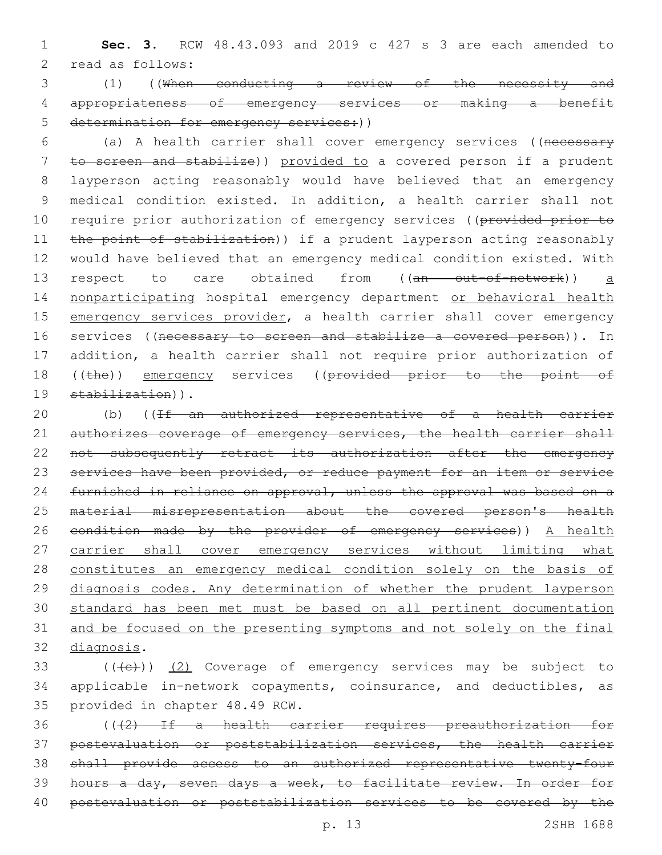1 **Sec. 3.** RCW 48.43.093 and 2019 c 427 s 3 are each amended to 2 read as follows:

3 (1) ((When conducting a review of the necessity and 4 appropriateness of emergency services or making a benefit 5 determination for emergency services: ()

6 (a) A health carrier shall cover emergency services ((necessary 7 to screen and stabilize)) provided to a covered person if a prudent 8 layperson acting reasonably would have believed that an emergency 9 medical condition existed. In addition, a health carrier shall not 10 require prior authorization of emergency services ((provided prior to 11 the point of stabilization)) if a prudent layperson acting reasonably 12 would have believed that an emergency medical condition existed. With 13 respect to care obtained from ((an out-of-network)) a 14 nonparticipating hospital emergency department or behavioral health 15 emergency services provider, a health carrier shall cover emergency 16 services ((necessary to screen and stabilize a covered person)). In 17 addition, a health carrier shall not require prior authorization of 18 ((the)) emergency services ((provided prior to the point of 19 stabilization)).

20 (b) ((If an authorized representative of a health carrier 21 authorizes coverage of emergency services, the health carrier shall 22 not subsequently retract its authorization after the emergency 23 services have been provided, or reduce payment for an item or service 24 furnished in reliance on approval, unless the approval was based on a 25 material misrepresentation about the covered person's health 26 condition made by the provider of emergency services)) A health 27 carrier shall cover emergency services without limiting what 28 constitutes an emergency medical condition solely on the basis of 29 diagnosis codes. Any determination of whether the prudent layperson 30 standard has been met must be based on all pertinent documentation 31 and be focused on the presenting symptoms and not solely on the final 32 diagnosis.

 $($  ( $($   $($   $($   $($   $))$   $($   $2)$  Coverage of emergency services may be subject to 34 applicable in-network copayments, coinsurance, and deductibles, as 35 provided in chapter 48.49 RCW.

 (((2) If a health carrier requires preauthorization for postevaluation or poststabilization services, the health carrier shall provide access to an authorized representative twenty-four hours a day, seven days a week, to facilitate review. In order for postevaluation or poststabilization services to be covered by the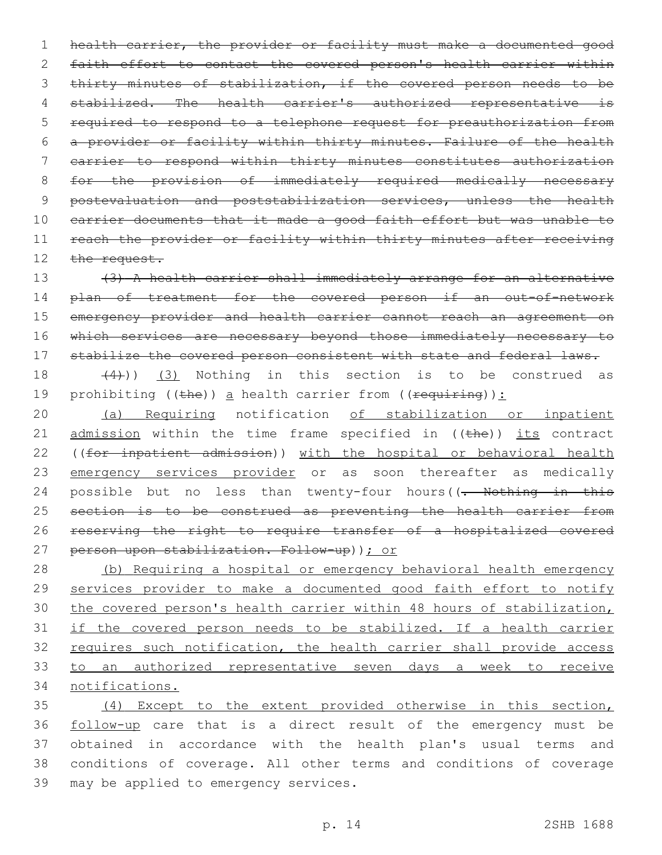1 health carrier, the provider or facility must make a documented good 2 faith effort to contact the covered person's health carrier within 3 thirty minutes of stabilization, if the covered person needs to be 4 stabilized. The health carrier's authorized representative is 5 required to respond to a telephone request for preauthorization from 6 a provider or facility within thirty minutes. Failure of the health 7 carrier to respond within thirty minutes constitutes authorization 8 for the provision of immediately required medically necessary 9 postevaluation and poststabilization services, unless the health 10 carrier documents that it made a good faith effort but was unable to 11 reach the provider or facility within thirty minutes after receiving 12 the request.

13 (3) A health carrier shall immediately arrange for an alternative 14 plan of treatment for the covered person if an out-of-network 15 emergency provider and health carrier cannot reach an agreement on 16 which services are necessary beyond those immediately necessary to 17 stabilize the covered person consistent with state and federal laws.

18  $(4)$ ))  $(3)$  Nothing in this section is to be construed as 19 prohibiting ((the)) a health carrier from (( $\frac{1}{2}$ ):

20 (a) Requiring notification of stabilization or inpatient 21  $\alpha$  admission within the time frame specified in ((the)) its contract 22 ((for inpatient admission)) with the hospital or behavioral health 23 emergency services provider or as soon thereafter as medically 24 possible but no less than twenty-four hours((- Nothing in this 25 section is to be construed as preventing the health carrier from 26 reserving the right to require transfer of a hospitalized covered 27 person upon stabilization. Follow-up)); or

 (b) Requiring a hospital or emergency behavioral health emergency 29 services provider to make a documented good faith effort to notify the covered person's health carrier within 48 hours of stabilization, if the covered person needs to be stabilized. If a health carrier 32 requires such notification, the health carrier shall provide access to an authorized representative seven days a week to receive notifications.

 (4) Except to the extent provided otherwise in this section, follow-up care that is a direct result of the emergency must be obtained in accordance with the health plan's usual terms and conditions of coverage. All other terms and conditions of coverage 39 may be applied to emergency services.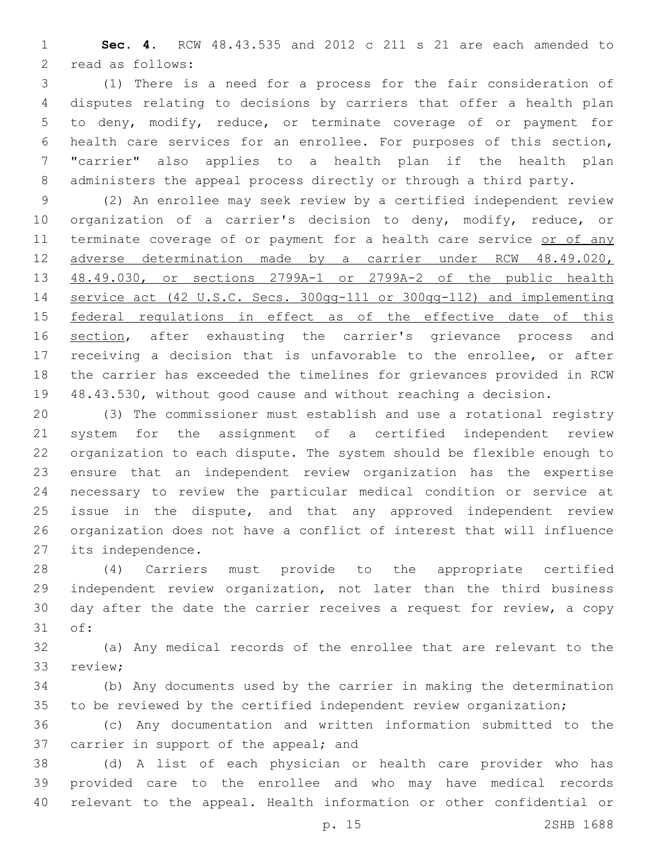**Sec. 4.** RCW 48.43.535 and 2012 c 211 s 21 are each amended to 2 read as follows:

 (1) There is a need for a process for the fair consideration of disputes relating to decisions by carriers that offer a health plan to deny, modify, reduce, or terminate coverage of or payment for health care services for an enrollee. For purposes of this section, "carrier" also applies to a health plan if the health plan administers the appeal process directly or through a third party.

 (2) An enrollee may seek review by a certified independent review organization of a carrier's decision to deny, modify, reduce, or 11 terminate coverage of or payment for a health care service or of any adverse determination made by a carrier under RCW 48.49.020, 48.49.030, or sections 2799A-1 or 2799A-2 of the public health service act (42 U.S.C. Secs. 300gg-111 or 300gg-112) and implementing 15 federal regulations in effect as of the effective date of this 16 section, after exhausting the carrier's grievance process and receiving a decision that is unfavorable to the enrollee, or after the carrier has exceeded the timelines for grievances provided in RCW 48.43.530, without good cause and without reaching a decision.

 (3) The commissioner must establish and use a rotational registry system for the assignment of a certified independent review organization to each dispute. The system should be flexible enough to ensure that an independent review organization has the expertise necessary to review the particular medical condition or service at issue in the dispute, and that any approved independent review organization does not have a conflict of interest that will influence 27 its independence.

 (4) Carriers must provide to the appropriate certified independent review organization, not later than the third business day after the date the carrier receives a request for review, a copy 31 of:

 (a) Any medical records of the enrollee that are relevant to the 33 review;

 (b) Any documents used by the carrier in making the determination to be reviewed by the certified independent review organization;

 (c) Any documentation and written information submitted to the 37 carrier in support of the appeal; and

 (d) A list of each physician or health care provider who has provided care to the enrollee and who may have medical records relevant to the appeal. Health information or other confidential or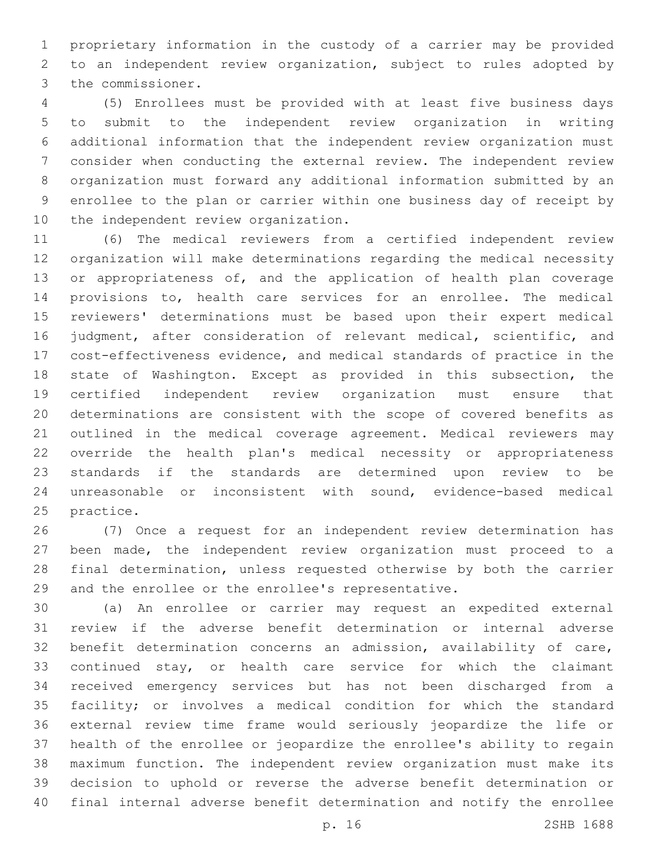proprietary information in the custody of a carrier may be provided to an independent review organization, subject to rules adopted by 3 the commissioner.

 (5) Enrollees must be provided with at least five business days to submit to the independent review organization in writing additional information that the independent review organization must consider when conducting the external review. The independent review organization must forward any additional information submitted by an enrollee to the plan or carrier within one business day of receipt by 10 the independent review organization.

 (6) The medical reviewers from a certified independent review organization will make determinations regarding the medical necessity 13 or appropriateness of, and the application of health plan coverage provisions to, health care services for an enrollee. The medical reviewers' determinations must be based upon their expert medical judgment, after consideration of relevant medical, scientific, and cost-effectiveness evidence, and medical standards of practice in the state of Washington. Except as provided in this subsection, the certified independent review organization must ensure that determinations are consistent with the scope of covered benefits as outlined in the medical coverage agreement. Medical reviewers may override the health plan's medical necessity or appropriateness standards if the standards are determined upon review to be unreasonable or inconsistent with sound, evidence-based medical 25 practice.

 (7) Once a request for an independent review determination has been made, the independent review organization must proceed to a final determination, unless requested otherwise by both the carrier and the enrollee or the enrollee's representative.

 (a) An enrollee or carrier may request an expedited external review if the adverse benefit determination or internal adverse benefit determination concerns an admission, availability of care, 33 continued stay, or health care service for which the claimant received emergency services but has not been discharged from a facility; or involves a medical condition for which the standard external review time frame would seriously jeopardize the life or health of the enrollee or jeopardize the enrollee's ability to regain maximum function. The independent review organization must make its decision to uphold or reverse the adverse benefit determination or final internal adverse benefit determination and notify the enrollee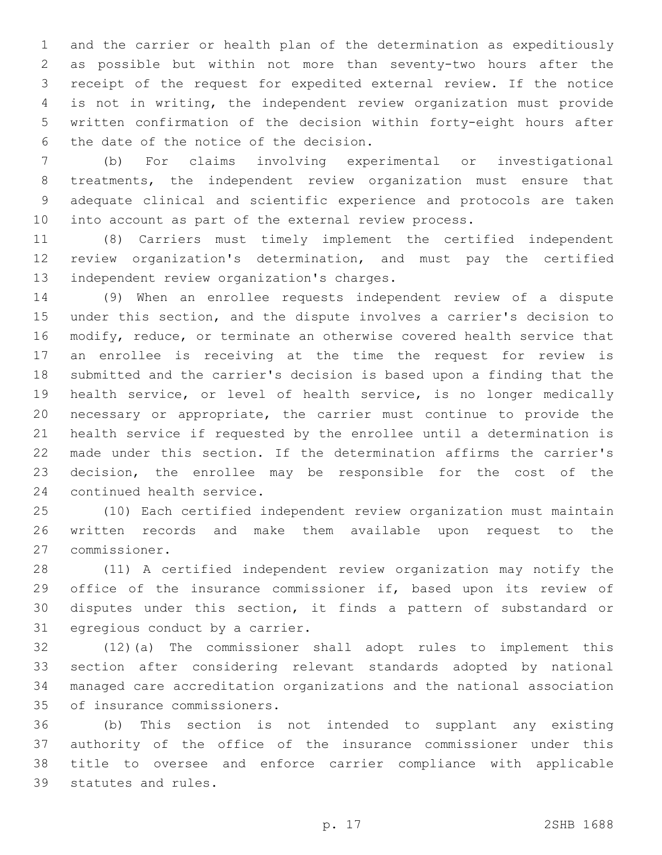and the carrier or health plan of the determination as expeditiously as possible but within not more than seventy-two hours after the receipt of the request for expedited external review. If the notice is not in writing, the independent review organization must provide written confirmation of the decision within forty-eight hours after 6 the date of the notice of the decision.

 (b) For claims involving experimental or investigational treatments, the independent review organization must ensure that adequate clinical and scientific experience and protocols are taken into account as part of the external review process.

 (8) Carriers must timely implement the certified independent review organization's determination, and must pay the certified 13 independent review organization's charges.

 (9) When an enrollee requests independent review of a dispute under this section, and the dispute involves a carrier's decision to modify, reduce, or terminate an otherwise covered health service that an enrollee is receiving at the time the request for review is submitted and the carrier's decision is based upon a finding that the health service, or level of health service, is no longer medically necessary or appropriate, the carrier must continue to provide the health service if requested by the enrollee until a determination is made under this section. If the determination affirms the carrier's decision, the enrollee may be responsible for the cost of the 24 continued health service.

 (10) Each certified independent review organization must maintain written records and make them available upon request to the commissioner.27

 (11) A certified independent review organization may notify the 29 office of the insurance commissioner if, based upon its review of disputes under this section, it finds a pattern of substandard or 31 egregious conduct by a carrier.

 (12)(a) The commissioner shall adopt rules to implement this section after considering relevant standards adopted by national managed care accreditation organizations and the national association 35 of insurance commissioners.

 (b) This section is not intended to supplant any existing authority of the office of the insurance commissioner under this title to oversee and enforce carrier compliance with applicable 39 statutes and rules.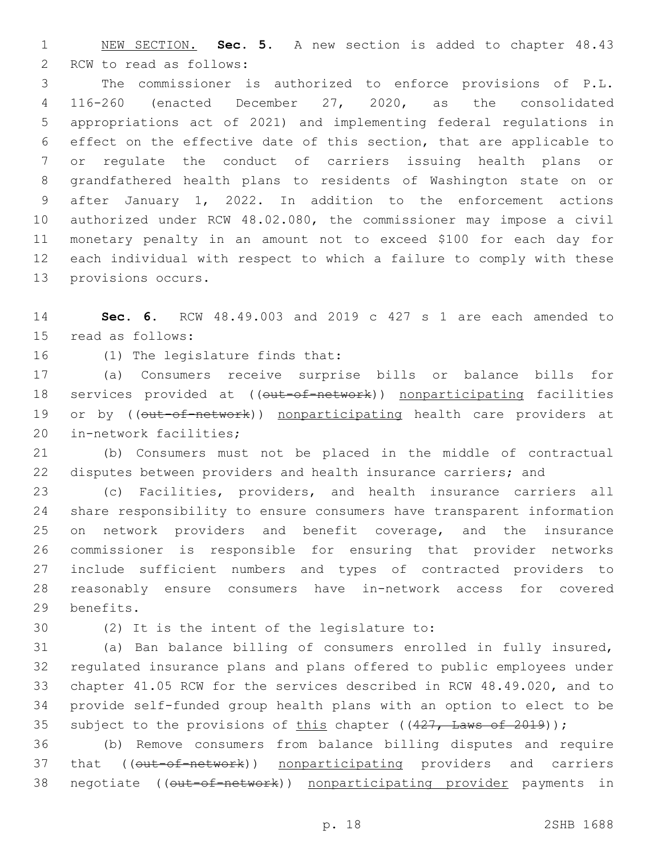NEW SECTION. **Sec. 5.** A new section is added to chapter 48.43 2 RCW to read as follows:

 The commissioner is authorized to enforce provisions of P.L. 116-260 (enacted December 27, 2020, as the consolidated appropriations act of 2021) and implementing federal regulations in effect on the effective date of this section, that are applicable to or regulate the conduct of carriers issuing health plans or grandfathered health plans to residents of Washington state on or after January 1, 2022. In addition to the enforcement actions authorized under RCW 48.02.080, the commissioner may impose a civil monetary penalty in an amount not to exceed \$100 for each day for each individual with respect to which a failure to comply with these 13 provisions occurs.

 **Sec. 6.** RCW 48.49.003 and 2019 c 427 s 1 are each amended to 15 read as follows:

16 (1) The legislature finds that:

 (a) Consumers receive surprise bills or balance bills for 18 services provided at ((out-of-network)) nonparticipating facilities 19 or by ((out-of-network)) nonparticipating health care providers at 20 in-network facilities;

 (b) Consumers must not be placed in the middle of contractual disputes between providers and health insurance carriers; and

 (c) Facilities, providers, and health insurance carriers all share responsibility to ensure consumers have transparent information on network providers and benefit coverage, and the insurance commissioner is responsible for ensuring that provider networks include sufficient numbers and types of contracted providers to reasonably ensure consumers have in-network access for covered 29 benefits.

30 (2) It is the intent of the legislature to:

 (a) Ban balance billing of consumers enrolled in fully insured, regulated insurance plans and plans offered to public employees under chapter 41.05 RCW for the services described in RCW 48.49.020, and to provide self-funded group health plans with an option to elect to be 35 subject to the provisions of this chapter  $((427, \text{ Laws of } 2019))$ ;

 (b) Remove consumers from balance billing disputes and require 37 that (( $\overline{\text{out-of-network}}$ ) nonparticipating providers and carriers 38 negotiate ((out-of-network)) nonparticipating provider payments in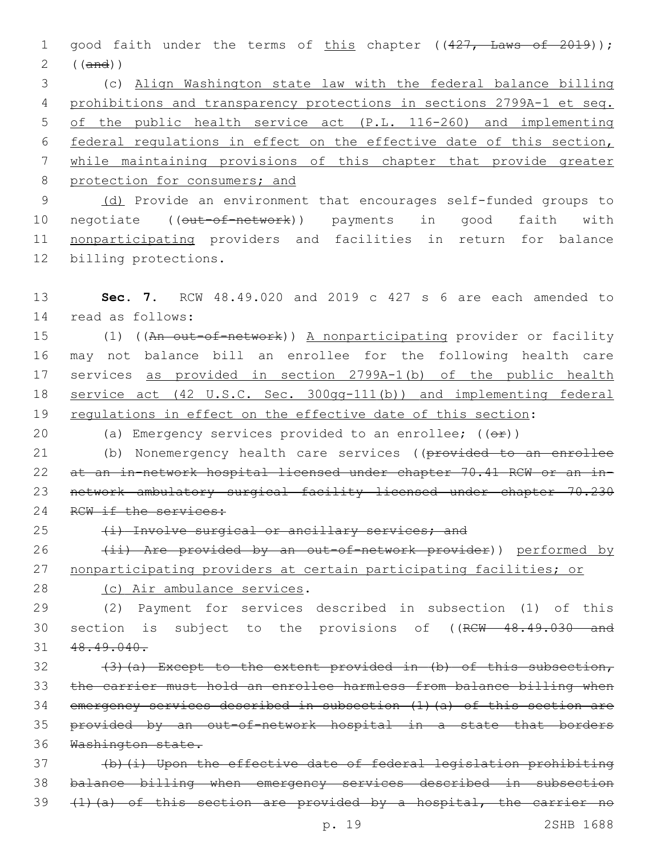1 good faith under the terms of this chapter ((427, Laws of 2019)); 2 ((and))

 (c) Align Washington state law with the federal balance billing prohibitions and transparency protections in sections 2799A-1 et seq. of the public health service act (P.L. 116-260) and implementing federal regulations in effect on the effective date of this section, while maintaining provisions of this chapter that provide greater 8 protection for consumers; and

9 (d) Provide an environment that encourages self-funded groups to 10 negotiate ((out-of-network)) payments in good faith with 11 nonparticipating providers and facilities in return for balance 12 billing protections.

13 **Sec. 7.** RCW 48.49.020 and 2019 c 427 s 6 are each amended to 14 read as follows:

15 (1) ((An out-of-network)) A nonparticipating provider or facility 16 may not balance bill an enrollee for the following health care 17 services as provided in section 2799A-1(b) of the public health 18 service act (42 U.S.C. Sec. 300gg-111(b)) and implementing federal 19 requlations in effect on the effective date of this section:

20 (a) Emergency services provided to an enrollee;  $($   $($  $\Theta$  $\mathbf{r}$  $))$ 

21 (b) Nonemergency health care services ((provided to an enrollee 22 at an in-network hospital licensed under chapter 70.41 RCW or an in-23 network ambulatory surgical facility licensed under chapter 70.230 24 RCW if the services:

25 (i) Involve surgical or ancillary services; and

26 (ii) Are provided by an out-of-network provider)) performed by 27 nonparticipating providers at certain participating facilities; or

28 (c) Air ambulance services.

29 (2) Payment for services described in subsection (1) of this 30 section is subject to the provisions of ((RCW 48.49.030 and 31 48.49.040.

32 (3)(a) Except to the extent provided in (b) of this subsection, the carrier must hold an enrollee harmless from balance billing when emergency services described in subsection (1)(a) of this section are provided by an out-of-network hospital in a state that borders Washington state.

37 (b)(i) Upon the effective date of federal legislation prohibiting 38 balance billing when emergency services described in subsection 39 (1)(a) of this section are provided by a hospital, the carrier no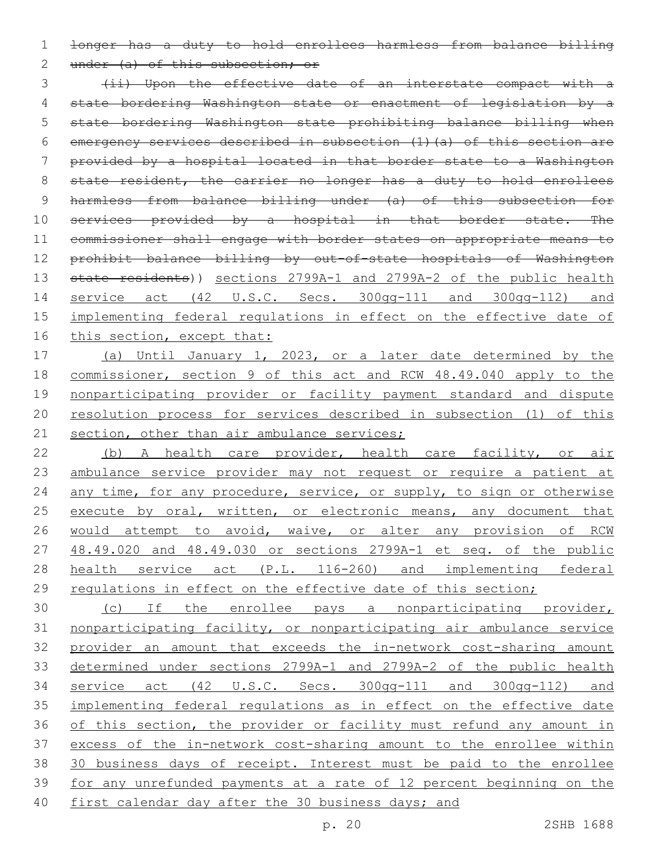1 longer has a duty to hold enrollees harmless from balance billing

2 under (a) of this subsection; or

3 (ii) Upon the effective date of an interstate compact with a 4 state bordering Washington state or enactment of legislation by a 5 state bordering Washington state prohibiting balance billing when 6 emergency services described in subsection (1)(a) of this section are 7 provided by a hospital located in that border state to a Washington 8 state resident, the carrier no longer has a duty to hold enrollees 9 harmless from balance billing under (a) of this subsection for 10 services provided by a hospital in that border state. The 11 commissioner shall engage with border states on appropriate means to 12 prohibit balance billing by out-of-state hospitals of Washington 13 state residents)) sections 2799A-1 and 2799A-2 of the public health 14 service act (42 U.S.C. Secs. 300gg-111 and 300gg-112) and 15 implementing federal regulations in effect on the effective date of 16 this section, except that:

 (a) Until January 1, 2023, or a later date determined by the commissioner, section 9 of this act and RCW 48.49.040 apply to the nonparticipating provider or facility payment standard and dispute resolution process for services described in subsection (1) of this 21 section, other than air ambulance services;

22 (b) A health care provider, health care facility, or air 23 ambulance service provider may not request or require a patient at 24 any time, for any procedure, service, or supply, to sign or otherwise 25 execute by oral, written, or electronic means, any document that 26 would attempt to avoid, waive, or alter any provision of RCW 27 48.49.020 and 48.49.030 or sections 2799A-1 et seq. of the public 28 health service act (P.L. 116-260) and implementing federal 29 regulations in effect on the effective date of this section;

 (c) If the enrollee pays a nonparticipating provider, nonparticipating facility, or nonparticipating air ambulance service provider an amount that exceeds the in-network cost-sharing amount determined under sections 2799A-1 and 2799A-2 of the public health service act (42 U.S.C. Secs. 300gg-111 and 300gg-112) and implementing federal regulations as in effect on the effective date 36 of this section, the provider or facility must refund any amount in excess of the in-network cost-sharing amount to the enrollee within 38 30 business days of receipt. Interest must be paid to the enrollee for any unrefunded payments at a rate of 12 percent beginning on the 40 first calendar day after the 30 business days; and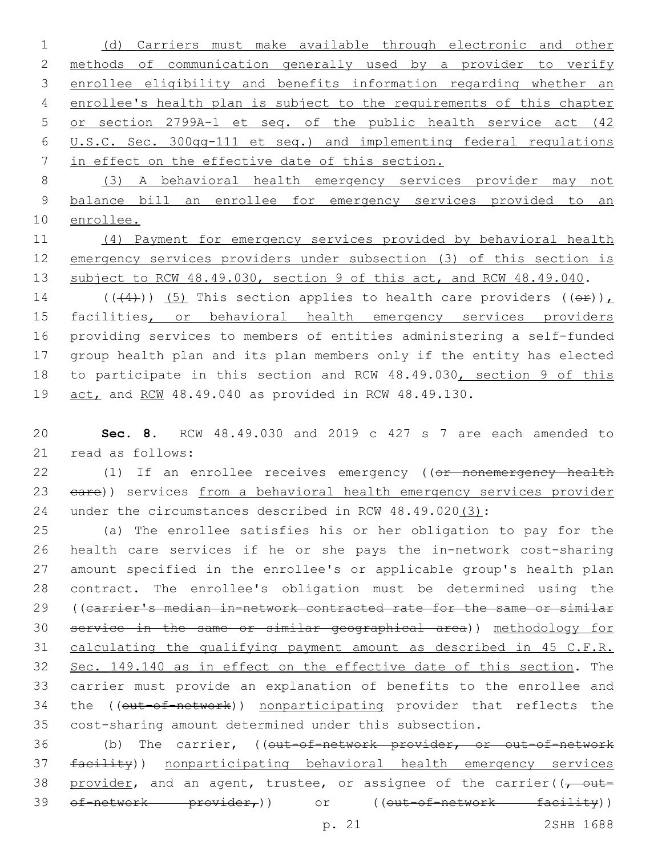(d) Carriers must make available through electronic and other methods of communication generally used by a provider to verify enrollee eligibility and benefits information regarding whether an enrollee's health plan is subject to the requirements of this chapter or section 2799A-1 et seq. of the public health service act (42 U.S.C. Sec. 300gg-111 et seq.) and implementing federal regulations in effect on the effective date of this section.

 (3) A behavioral health emergency services provider may not balance bill an enrollee for emergency services provided to an enrollee.

 (4) Payment for emergency services provided by behavioral health emergency services providers under subsection (3) of this section is 13 subject to RCW 48.49.030, section 9 of this act, and RCW 48.49.040.

14 (( $(4)$ )) (5) This section applies to health care providers ( $(e^E)$ ), 15 facilities, or behavioral health emergency services providers providing services to members of entities administering a self-funded group health plan and its plan members only if the entity has elected 18 to participate in this section and RCW 48.49.030, section 9 of this act, and RCW 48.49.040 as provided in RCW 48.49.130.

 **Sec. 8.** RCW 48.49.030 and 2019 c 427 s 7 are each amended to 21 read as follows:

22 (1) If an enrollee receives emergency ((or nonemergency health 23 eare)) services from a behavioral health emergency services provider under the circumstances described in RCW 48.49.020(3):

 (a) The enrollee satisfies his or her obligation to pay for the health care services if he or she pays the in-network cost-sharing amount specified in the enrollee's or applicable group's health plan contract. The enrollee's obligation must be determined using the ((carrier's median in-network contracted rate for the same or similar service in the same or similar geographical area)) methodology for calculating the qualifying payment amount as described in 45 C.F.R. Sec. 149.140 as in effect on the effective date of this section. The carrier must provide an explanation of benefits to the enrollee and 34 the ((out-of-network)) nonparticipating provider that reflects the cost-sharing amount determined under this subsection.

36 (b) The carrier, ((out-of-network provider, or out-of-network facility)) nonparticipating behavioral health emergency services 38 provider, and an agent, trustee, or assignee of the carrier( $(-$  out-39 of-network provider,)) or ((out-of-network facility))

p. 21 2SHB 1688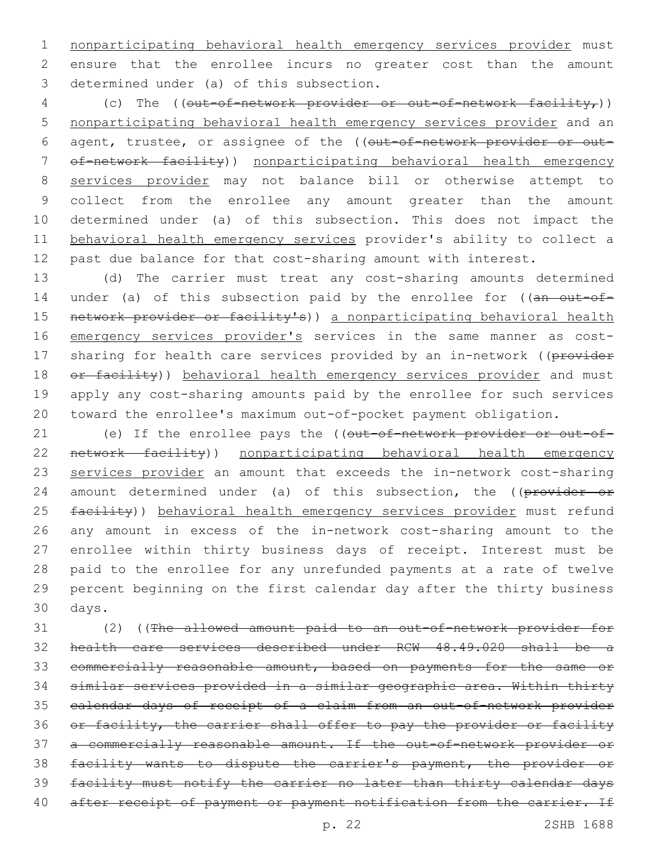nonparticipating behavioral health emergency services provider must ensure that the enrollee incurs no greater cost than the amount 3 determined under (a) of this subsection.

4 (c) The (( $out-of-network-provider or out-of-network factor)$ ) nonparticipating behavioral health emergency services provider and an 6 agent, trustee, or assignee of the ((out-of-network provider or out- of-network facility)) nonparticipating behavioral health emergency services provider may not balance bill or otherwise attempt to collect from the enrollee any amount greater than the amount determined under (a) of this subsection. This does not impact the behavioral health emergency services provider's ability to collect a past due balance for that cost-sharing amount with interest.

 (d) The carrier must treat any cost-sharing amounts determined 14 under (a) of this subsection paid by the enrollee for ((an out-of-15 network provider or facility's)) a nonparticipating behavioral health 16 emergency services provider's services in the same manner as cost-17 sharing for health care services provided by an in-network ((provider 18 or facility)) behavioral health emergency services provider and must apply any cost-sharing amounts paid by the enrollee for such services toward the enrollee's maximum out-of-pocket payment obligation.

21 (e) If the enrollee pays the ((out-of-network provider or out-of- network facility)) nonparticipating behavioral health emergency services provider an amount that exceeds the in-network cost-sharing 24 amount determined under (a) of this subsection, the ((provider or 25 facility)) behavioral health emergency services provider must refund any amount in excess of the in-network cost-sharing amount to the enrollee within thirty business days of receipt. Interest must be paid to the enrollee for any unrefunded payments at a rate of twelve percent beginning on the first calendar day after the thirty business 30 days.

 (2) ((The allowed amount paid to an out-of-network provider for health care services described under RCW 48.49.020 shall be a commercially reasonable amount, based on payments for the same or similar services provided in a similar geographic area. Within thirty calendar days of receipt of a claim from an out-of-network provider 36 or facility, the carrier shall offer to pay the provider or facility a commercially reasonable amount. If the out-of-network provider or facility wants to dispute the carrier's payment, the provider or facility must notify the carrier no later than thirty calendar days 40 after receipt of payment or payment notification from the carrier. If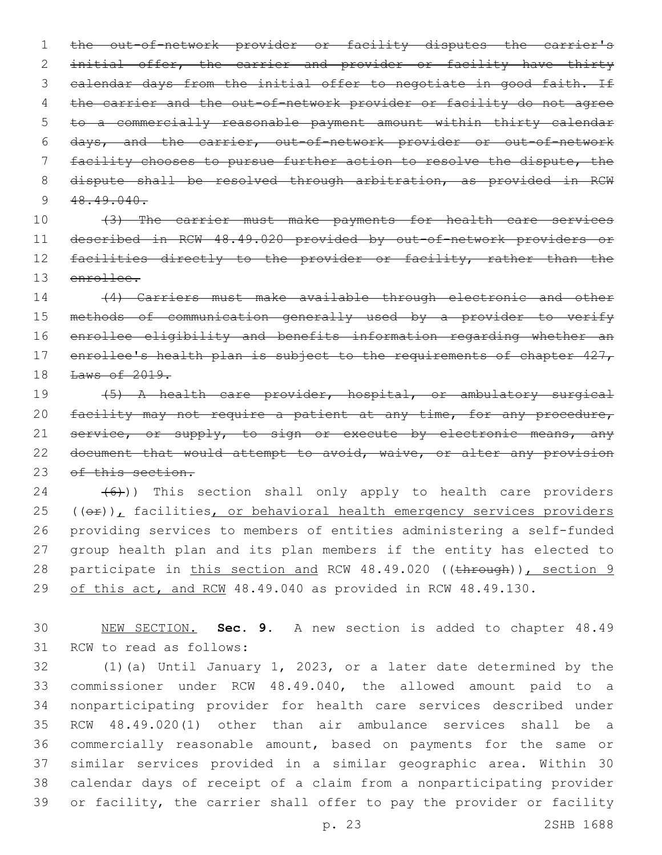the out-of-network provider or facility disputes the carrier's initial offer, the carrier and provider or facility have thirty 3 calendar days from the initial offer to negotiate in good faith. If 4 the carrier and the out-of-network provider or facility do not agree to a commercially reasonable payment amount within thirty calendar days, and the carrier, out-of-network provider or out-of-network facility chooses to pursue further action to resolve the dispute, the 8 dispute shall be resolved through arbitration, as provided in RCW  $48.49.040$ .

 (3) The carrier must make payments for health care services described in RCW 48.49.020 provided by out-of-network providers or 12 facilities directly to the provider or facility, rather than the enrollee.

 (4) Carriers must make available through electronic and other methods of communication generally used by a provider to verify enrollee eligibility and benefits information regarding whether an 17 enrollee's health plan is subject to the requirements of chapter 427, Laws of 2019.

 (5) A health care provider, hospital, or ambulatory surgical 20 facility may not require a patient at any time, for any procedure, 21 service, or supply, to sign or execute by electronic means, any 22 document that would attempt to avoid, waive, or alter any provision 23 of this section.

  $(6)$ )) This section shall only apply to health care providers  $(40)$ , facilities, or behavioral health emergency services providers providing services to members of entities administering a self-funded group health plan and its plan members if the entity has elected to 28 participate in this section and RCW 48.49.020 ((through)), section 9 29 of this act, and RCW 48.49.040 as provided in RCW 48.49.130.

 NEW SECTION. **Sec. 9.** A new section is added to chapter 48.49 31 RCW to read as follows:

 (1)(a) Until January 1, 2023, or a later date determined by the commissioner under RCW 48.49.040, the allowed amount paid to a nonparticipating provider for health care services described under RCW 48.49.020(1) other than air ambulance services shall be a commercially reasonable amount, based on payments for the same or similar services provided in a similar geographic area. Within 30 calendar days of receipt of a claim from a nonparticipating provider or facility, the carrier shall offer to pay the provider or facility

p. 23 2SHB 1688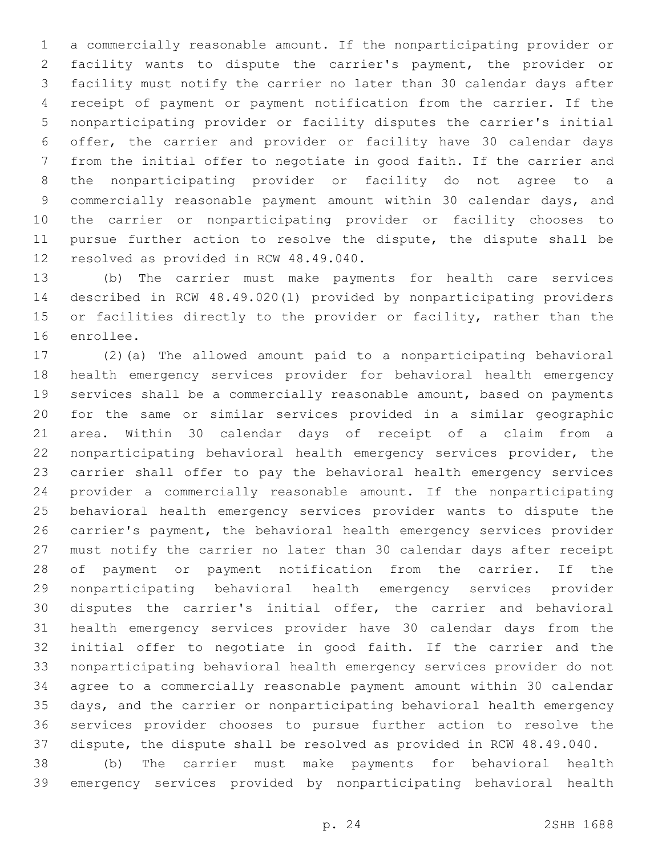a commercially reasonable amount. If the nonparticipating provider or facility wants to dispute the carrier's payment, the provider or facility must notify the carrier no later than 30 calendar days after receipt of payment or payment notification from the carrier. If the nonparticipating provider or facility disputes the carrier's initial offer, the carrier and provider or facility have 30 calendar days from the initial offer to negotiate in good faith. If the carrier and the nonparticipating provider or facility do not agree to a commercially reasonable payment amount within 30 calendar days, and the carrier or nonparticipating provider or facility chooses to pursue further action to resolve the dispute, the dispute shall be 12 resolved as provided in RCW 48.49.040.

 (b) The carrier must make payments for health care services described in RCW 48.49.020(1) provided by nonparticipating providers or facilities directly to the provider or facility, rather than the 16 enrollee.

 (2)(a) The allowed amount paid to a nonparticipating behavioral health emergency services provider for behavioral health emergency services shall be a commercially reasonable amount, based on payments for the same or similar services provided in a similar geographic area. Within 30 calendar days of receipt of a claim from a nonparticipating behavioral health emergency services provider, the carrier shall offer to pay the behavioral health emergency services provider a commercially reasonable amount. If the nonparticipating behavioral health emergency services provider wants to dispute the carrier's payment, the behavioral health emergency services provider must notify the carrier no later than 30 calendar days after receipt of payment or payment notification from the carrier. If the nonparticipating behavioral health emergency services provider disputes the carrier's initial offer, the carrier and behavioral health emergency services provider have 30 calendar days from the initial offer to negotiate in good faith. If the carrier and the nonparticipating behavioral health emergency services provider do not agree to a commercially reasonable payment amount within 30 calendar days, and the carrier or nonparticipating behavioral health emergency services provider chooses to pursue further action to resolve the dispute, the dispute shall be resolved as provided in RCW 48.49.040.

 (b) The carrier must make payments for behavioral health emergency services provided by nonparticipating behavioral health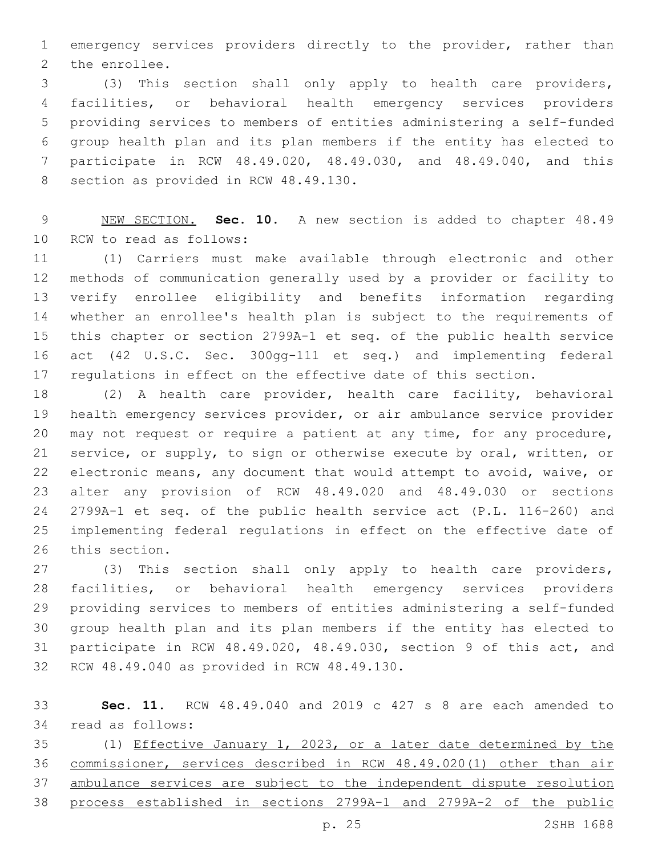emergency services providers directly to the provider, rather than 2 the enrollee.

 (3) This section shall only apply to health care providers, facilities, or behavioral health emergency services providers providing services to members of entities administering a self-funded group health plan and its plan members if the entity has elected to participate in RCW 48.49.020, 48.49.030, and 48.49.040, and this 8 section as provided in RCW 48.49.130.

 NEW SECTION. **Sec. 10.** A new section is added to chapter 48.49 10 RCW to read as follows:

 (1) Carriers must make available through electronic and other methods of communication generally used by a provider or facility to verify enrollee eligibility and benefits information regarding whether an enrollee's health plan is subject to the requirements of this chapter or section 2799A-1 et seq. of the public health service act (42 U.S.C. Sec. 300gg-111 et seq.) and implementing federal regulations in effect on the effective date of this section.

 (2) A health care provider, health care facility, behavioral health emergency services provider, or air ambulance service provider may not request or require a patient at any time, for any procedure, service, or supply, to sign or otherwise execute by oral, written, or electronic means, any document that would attempt to avoid, waive, or alter any provision of RCW 48.49.020 and 48.49.030 or sections 2799A-1 et seq. of the public health service act (P.L. 116-260) and implementing federal regulations in effect on the effective date of 26 this section.

 (3) This section shall only apply to health care providers, facilities, or behavioral health emergency services providers providing services to members of entities administering a self-funded group health plan and its plan members if the entity has elected to participate in RCW 48.49.020, 48.49.030, section 9 of this act, and 32 RCW 48.49.040 as provided in RCW 48.49.130.

 **Sec. 11.** RCW 48.49.040 and 2019 c 427 s 8 are each amended to 34 read as follows:

 (1) Effective January 1, 2023, or a later date determined by the commissioner, services described in RCW 48.49.020(1) other than air ambulance services are subject to the independent dispute resolution process established in sections 2799A-1 and 2799A-2 of the public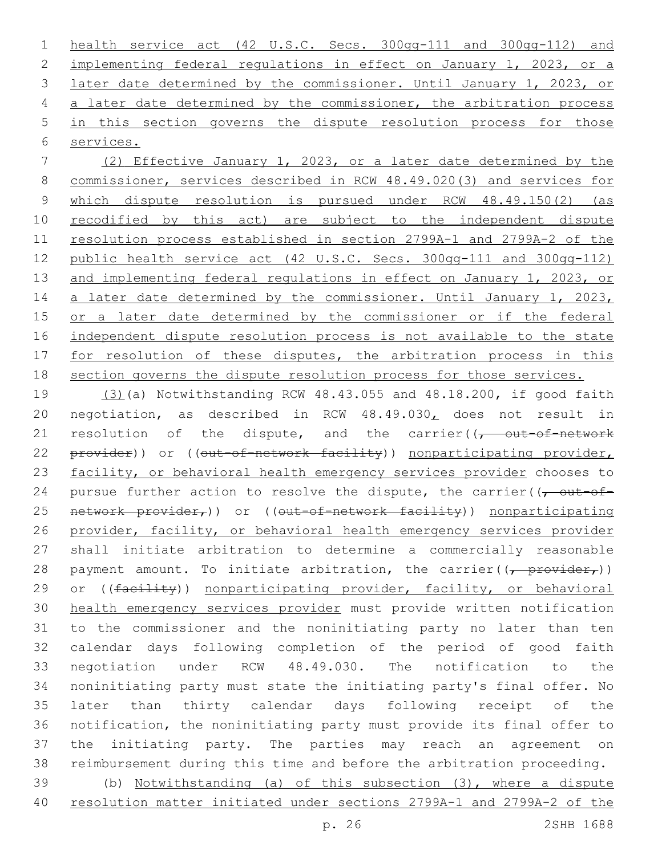health service act (42 U.S.C. Secs. 300gg-111 and 300gg-112) and implementing federal regulations in effect on January 1, 2023, or a later date determined by the commissioner. Until January 1, 2023, or a later date determined by the commissioner, the arbitration process in this section governs the dispute resolution process for those services.

 (2) Effective January 1, 2023, or a later date determined by the commissioner, services described in RCW 48.49.020(3) and services for which dispute resolution is pursued under RCW 48.49.150(2) (as 10 recodified by this act) are subject to the independent dispute resolution process established in section 2799A-1 and 2799A-2 of the public health service act (42 U.S.C. Secs. 300gg-111 and 300gg-112) and implementing federal regulations in effect on January 1, 2023, or 14 a later date determined by the commissioner. Until January 1, 2023, or a later date determined by the commissioner or if the federal independent dispute resolution process is not available to the state 17 for resolution of these disputes, the arbitration process in this section governs the dispute resolution process for those services.

 (3)(a) Notwithstanding RCW 48.43.055 and 48.18.200, if good faith negotiation, as described in RCW 48.49.030, does not result in 21 resolution of the dispute, and the carrier( $\sqrt{t}$  out-of-network 22 provider)) or ((out-of-network facility)) nonparticipating provider, facility, or behavioral health emergency services provider chooses to 24 pursue further action to resolve the dispute, the carrier( $\sqrt{\overline{C}}$ 25 network provider,)) or ((out-of-network facility)) nonparticipating provider, facility, or behavioral health emergency services provider shall initiate arbitration to determine a commercially reasonable 28 payment amount. To initiate arbitration, the carrier( $\frac{1}{(t - \text{provider}_{t})}$ ) 29 or ((facility)) nonparticipating provider, facility, or behavioral health emergency services provider must provide written notification to the commissioner and the noninitiating party no later than ten calendar days following completion of the period of good faith negotiation under RCW 48.49.030. The notification to the noninitiating party must state the initiating party's final offer. No later than thirty calendar days following receipt of the notification, the noninitiating party must provide its final offer to the initiating party. The parties may reach an agreement on reimbursement during this time and before the arbitration proceeding. (b) Notwithstanding (a) of this subsection (3), where a dispute resolution matter initiated under sections 2799A-1 and 2799A-2 of the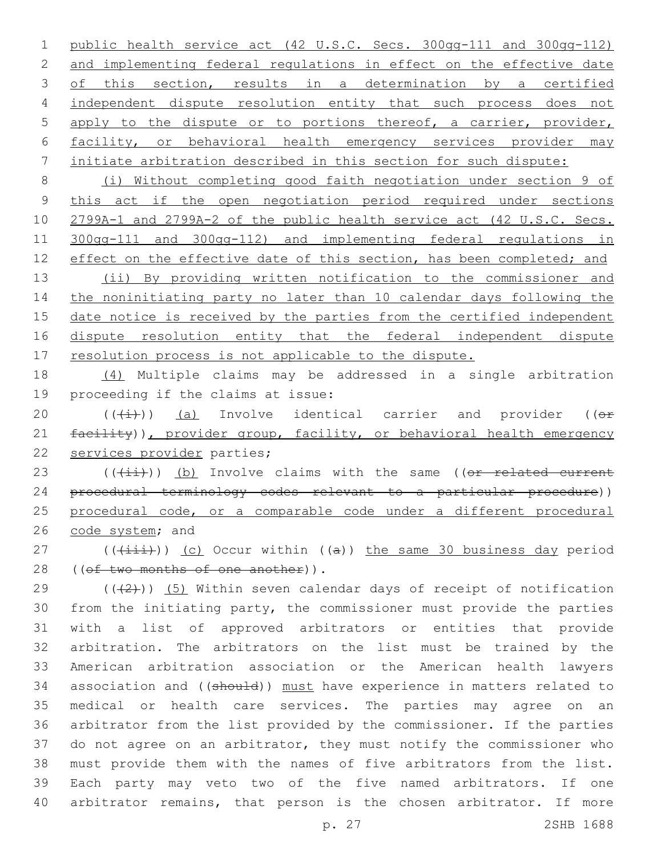public health service act (42 U.S.C. Secs. 300gg-111 and 300gg-112) and implementing federal regulations in effect on the effective date 3 of this section, results in a determination by a certified independent dispute resolution entity that such process does not apply to the dispute or to portions thereof, a carrier, provider, facility, or behavioral health emergency services provider may initiate arbitration described in this section for such dispute:

 (i) Without completing good faith negotiation under section 9 of this act if the open negotiation period required under sections 2799A-1 and 2799A-2 of the public health service act (42 U.S.C. Secs. 300gg-111 and 300gg-112) and implementing federal regulations in 12 effect on the effective date of this section, has been completed; and

 (ii) By providing written notification to the commissioner and the noninitiating party no later than 10 calendar days following the 15 date notice is received by the parties from the certified independent dispute resolution entity that the federal independent dispute 17 resolution process is not applicable to the dispute.

 (4) Multiple claims may be addressed in a single arbitration 19 proceeding if the claims at issue:

20  $((\text{(+i)})$  (a) Involve identical carrier and provider (( $\Theta$ f) 21 facility)), provider group, facility, or behavioral health emergency 22 services provider parties;

23 (((ii))) (b) Involve claims with the same ((or related current procedural terminology codes relevant to a particular procedure)) procedural code, or a comparable code under a different procedural 26 code system; and

27 ( $(\overrightarrow{+i})$ ) (c) Occur within ((a)) the same 30 business day period 28 ((of two months of one another)).

 ( $(42)$ )) (5) Within seven calendar days of receipt of notification from the initiating party, the commissioner must provide the parties with a list of approved arbitrators or entities that provide arbitration. The arbitrators on the list must be trained by the American arbitration association or the American health lawyers 34 association and ((should)) must have experience in matters related to medical or health care services. The parties may agree on an arbitrator from the list provided by the commissioner. If the parties do not agree on an arbitrator, they must notify the commissioner who must provide them with the names of five arbitrators from the list. Each party may veto two of the five named arbitrators. If one arbitrator remains, that person is the chosen arbitrator. If more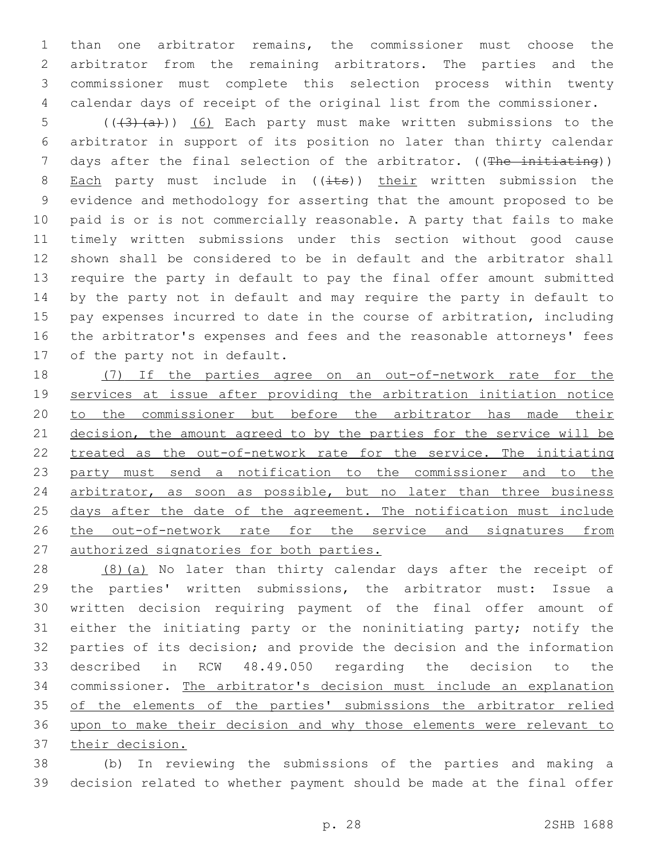than one arbitrator remains, the commissioner must choose the arbitrator from the remaining arbitrators. The parties and the commissioner must complete this selection process within twenty calendar days of receipt of the original list from the commissioner.

5 (( $(3)$   $(a)$ )) (6) Each party must make written submissions to the arbitrator in support of its position no later than thirty calendar 7 days after the final selection of the arbitrator. ((The initiating)) 8 Each party must include in  $((i$ ts)) their written submission the evidence and methodology for asserting that the amount proposed to be paid is or is not commercially reasonable. A party that fails to make timely written submissions under this section without good cause shown shall be considered to be in default and the arbitrator shall require the party in default to pay the final offer amount submitted by the party not in default and may require the party in default to pay expenses incurred to date in the course of arbitration, including the arbitrator's expenses and fees and the reasonable attorneys' fees 17 of the party not in default.

18 (7) If the parties agree on an out-of-network rate for the services at issue after providing the arbitration initiation notice 20 to the commissioner but before the arbitrator has made their 21 decision, the amount agreed to by the parties for the service will be treated as the out-of-network rate for the service. The initiating party must send a notification to the commissioner and to the 24 arbitrator, as soon as possible, but no later than three business 25 days after the date of the agreement. The notification must include 26 the out-of-network rate for the service and signatures from authorized signatories for both parties.

28 (8)(a) No later than thirty calendar days after the receipt of the parties' written submissions, the arbitrator must: Issue a written decision requiring payment of the final offer amount of either the initiating party or the noninitiating party; notify the parties of its decision; and provide the decision and the information described in RCW 48.49.050 regarding the decision to the commissioner. The arbitrator's decision must include an explanation 35 of the elements of the parties' submissions the arbitrator relied upon to make their decision and why those elements were relevant to their decision.

 (b) In reviewing the submissions of the parties and making a decision related to whether payment should be made at the final offer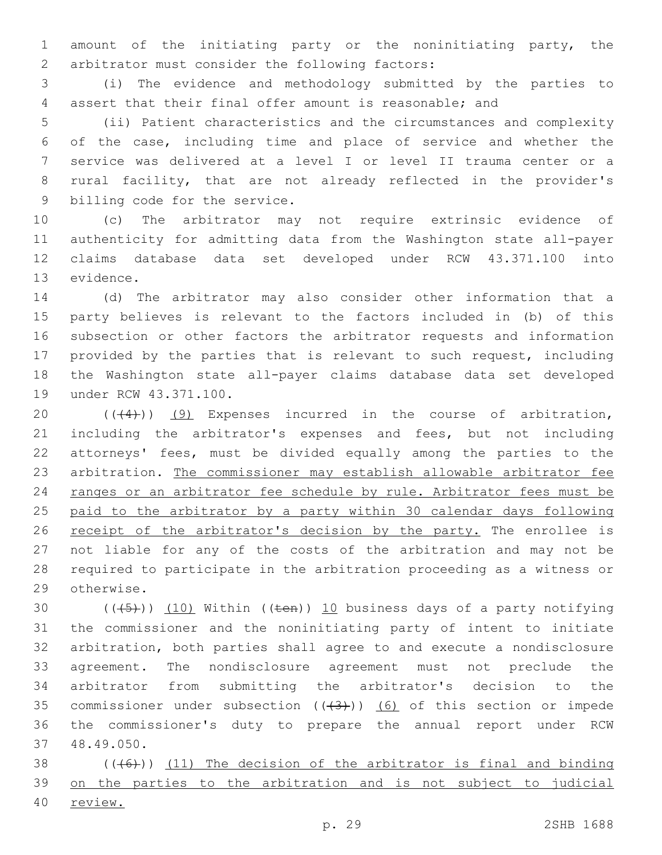amount of the initiating party or the noninitiating party, the 2 arbitrator must consider the following factors:

 (i) The evidence and methodology submitted by the parties to assert that their final offer amount is reasonable; and

 (ii) Patient characteristics and the circumstances and complexity of the case, including time and place of service and whether the service was delivered at a level I or level II trauma center or a rural facility, that are not already reflected in the provider's 9 billing code for the service.

 (c) The arbitrator may not require extrinsic evidence of authenticity for admitting data from the Washington state all-payer claims database data set developed under RCW 43.371.100 into 13 evidence.

 (d) The arbitrator may also consider other information that a party believes is relevant to the factors included in (b) of this subsection or other factors the arbitrator requests and information provided by the parties that is relevant to such request, including the Washington state all-payer claims database data set developed 19 under RCW 43.371.100.

 $((+4))$   $(9)$  Expenses incurred in the course of arbitration, including the arbitrator's expenses and fees, but not including attorneys' fees, must be divided equally among the parties to the arbitration. The commissioner may establish allowable arbitrator fee 24 ranges or an arbitrator fee schedule by rule. Arbitrator fees must be paid to the arbitrator by a party within 30 calendar days following 26 receipt of the arbitrator's decision by the party. The enrollee is not liable for any of the costs of the arbitration and may not be required to participate in the arbitration proceeding as a witness or 29 otherwise.

 $((+5+))$   $(10)$  Within ((ten)) 10 business days of a party notifying the commissioner and the noninitiating party of intent to initiate arbitration, both parties shall agree to and execute a nondisclosure agreement. The nondisclosure agreement must not preclude the arbitrator from submitting the arbitrator's decision to the 35 commissioner under subsection  $((+3))$   $(6)$  of this section or impede the commissioner's duty to prepare the annual report under RCW 48.49.050.37

38  $((+6))$  (11) The decision of the arbitrator is final and binding on the parties to the arbitration and is not subject to judicial review.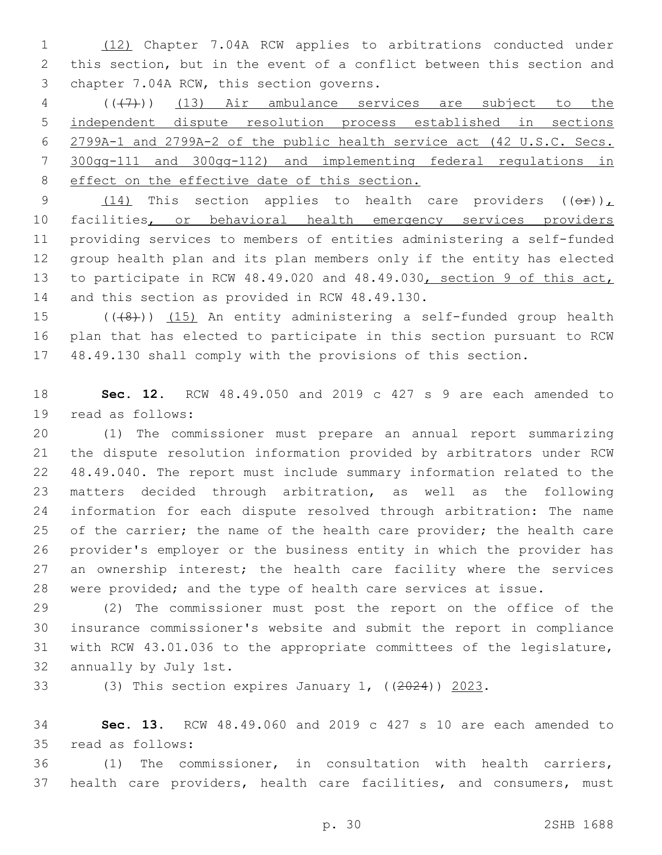(12) Chapter 7.04A RCW applies to arbitrations conducted under this section, but in the event of a conflict between this section and 3 chapter 7.04A RCW, this section governs.

 (((7))) (13) Air ambulance services are subject to the independent dispute resolution process established in sections 2799A-1 and 2799A-2 of the public health service act (42 U.S.C. Secs. 300gg-111 and 300gg-112) and implementing federal regulations in 8 effect on the effective date of this section.

9 (14) This section applies to health care providers  $((\theta \cdot \hat{r}))_L$  facilities, or behavioral health emergency services providers providing services to members of entities administering a self-funded group health plan and its plan members only if the entity has elected to participate in RCW 48.49.020 and 48.49.030, section 9 of this act, 14 and this section as provided in RCW 48.49.130.

15 ((+8)) (15) An entity administering a self-funded group health plan that has elected to participate in this section pursuant to RCW 48.49.130 shall comply with the provisions of this section.

 **Sec. 12.** RCW 48.49.050 and 2019 c 427 s 9 are each amended to 19 read as follows:

 (1) The commissioner must prepare an annual report summarizing the dispute resolution information provided by arbitrators under RCW 48.49.040. The report must include summary information related to the matters decided through arbitration, as well as the following information for each dispute resolved through arbitration: The name 25 of the carrier; the name of the health care provider; the health care provider's employer or the business entity in which the provider has 27 an ownership interest; the health care facility where the services were provided; and the type of health care services at issue.

 (2) The commissioner must post the report on the office of the insurance commissioner's website and submit the report in compliance with RCW 43.01.036 to the appropriate committees of the legislature, 32 annually by July 1st.

33 (3) This section expires January 1, ((2024)) 2023.

 **Sec. 13.** RCW 48.49.060 and 2019 c 427 s 10 are each amended to read as follows:35

 (1) The commissioner, in consultation with health carriers, health care providers, health care facilities, and consumers, must

p. 30 2SHB 1688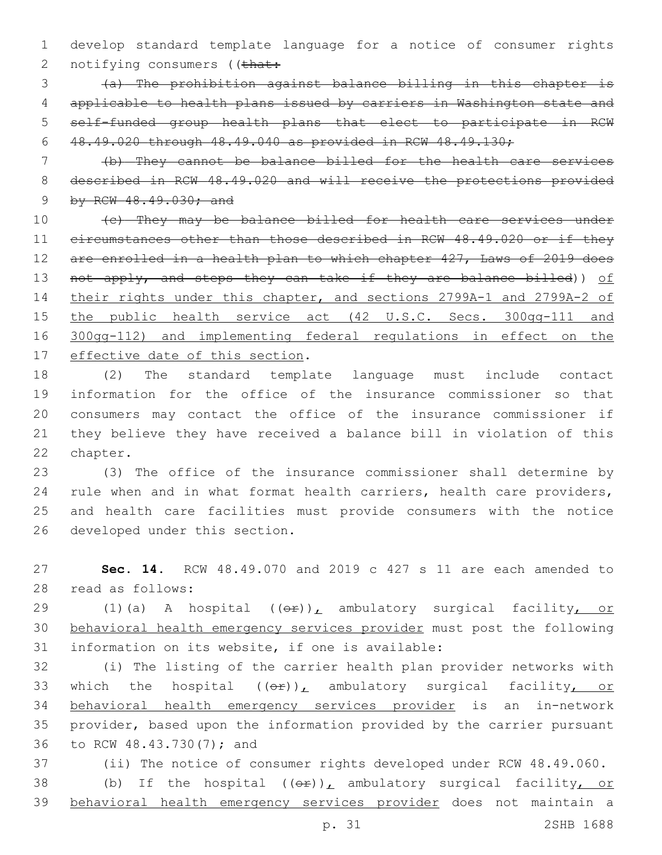develop standard template language for a notice of consumer rights 2 notifying consumers ((that:

 (a) The prohibition against balance billing in this chapter is applicable to health plans issued by carriers in Washington state and self-funded group health plans that elect to participate in RCW 48.49.020 through 48.49.040 as provided in RCW 48.49.130;

 (b) They cannot be balance billed for the health care services described in RCW 48.49.020 and will receive the protections provided 9 by RCW 48.49.030; and

10 (c) They may be balance billed for health care services under circumstances other than those described in RCW 48.49.020 or if they are enrolled in a health plan to which chapter 427, Laws of 2019 does 13 not apply, and steps they can take if they are balance billed)) of their rights under this chapter, and sections 2799A-1 and 2799A-2 of 15 the public health service act (42 U.S.C. Secs. 300gg-111 and 300gg-112) and implementing federal regulations in effect on the 17 effective date of this section.

 (2) The standard template language must include contact information for the office of the insurance commissioner so that consumers may contact the office of the insurance commissioner if they believe they have received a balance bill in violation of this 22 chapter.

 (3) The office of the insurance commissioner shall determine by rule when and in what format health carriers, health care providers, and health care facilities must provide consumers with the notice 26 developed under this section.

 **Sec. 14.** RCW 48.49.070 and 2019 c 427 s 11 are each amended to 28 read as follows:

29 (1)(a) A hospital ((or)), ambulatory surgical facility, or behavioral health emergency services provider must post the following 31 information on its website, if one is available:

 (i) The listing of the carrier health plan provider networks with 33 which the hospital  $(\theta \hat{r})_L$  ambulatory surgical facility, or behavioral health emergency services provider is an in-network provider, based upon the information provided by the carrier pursuant 36 to RCW 48.43.730(7); and

 (ii) The notice of consumer rights developed under RCW 48.49.060. 38 (b) If the hospital  $((eF))^L$  ambulatory surgical facility, or behavioral health emergency services provider does not maintain a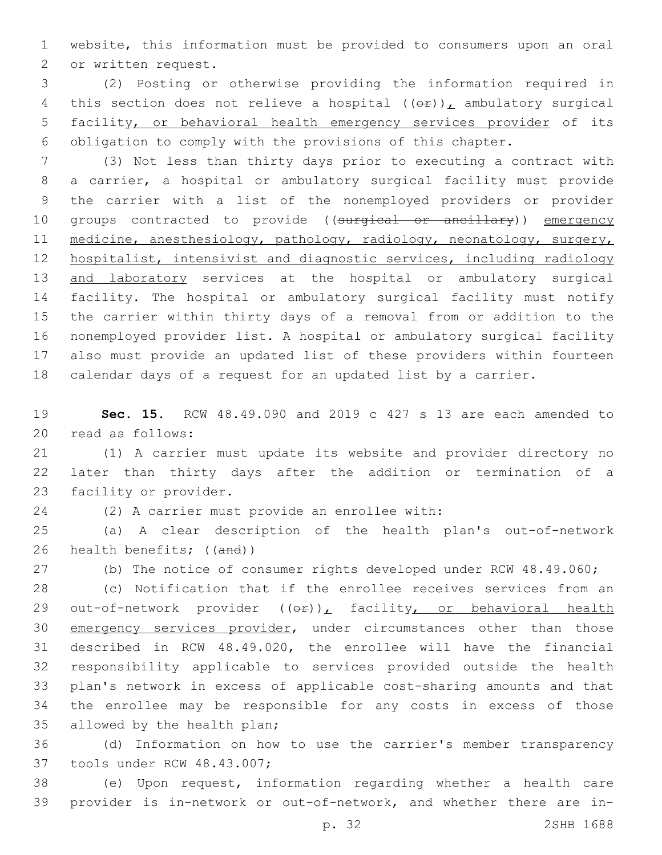website, this information must be provided to consumers upon an oral 2 or written request.

 (2) Posting or otherwise providing the information required in 4 this section does not relieve a hospital  $((\theta \cdot \mathbf{r}))$ , ambulatory surgical facility, or behavioral health emergency services provider of its obligation to comply with the provisions of this chapter.

 (3) Not less than thirty days prior to executing a contract with a carrier, a hospital or ambulatory surgical facility must provide the carrier with a list of the nonemployed providers or provider 10 groups contracted to provide ((surgical or ancillary)) emergency 11 medicine, anesthesiology, pathology, radiology, neonatology, surgery, hospitalist, intensivist and diagnostic services, including radiology 13 and laboratory services at the hospital or ambulatory surgical facility. The hospital or ambulatory surgical facility must notify the carrier within thirty days of a removal from or addition to the nonemployed provider list. A hospital or ambulatory surgical facility also must provide an updated list of these providers within fourteen calendar days of a request for an updated list by a carrier.

 **Sec. 15.** RCW 48.49.090 and 2019 c 427 s 13 are each amended to 20 read as follows:

 (1) A carrier must update its website and provider directory no later than thirty days after the addition or termination of a 23 facility or provider.

24 (2) A carrier must provide an enrollee with:

 (a) A clear description of the health plan's out-of-network health benefits; ((and))

(b) The notice of consumer rights developed under RCW 48.49.060;

 (c) Notification that if the enrollee receives services from an 29 out-of-network provider ((or)), facility, or behavioral health 30 emergency services provider, under circumstances other than those described in RCW 48.49.020, the enrollee will have the financial responsibility applicable to services provided outside the health plan's network in excess of applicable cost-sharing amounts and that the enrollee may be responsible for any costs in excess of those 35 allowed by the health plan;

 (d) Information on how to use the carrier's member transparency 37 tools under RCW 48.43.007;

 (e) Upon request, information regarding whether a health care provider is in-network or out-of-network, and whether there are in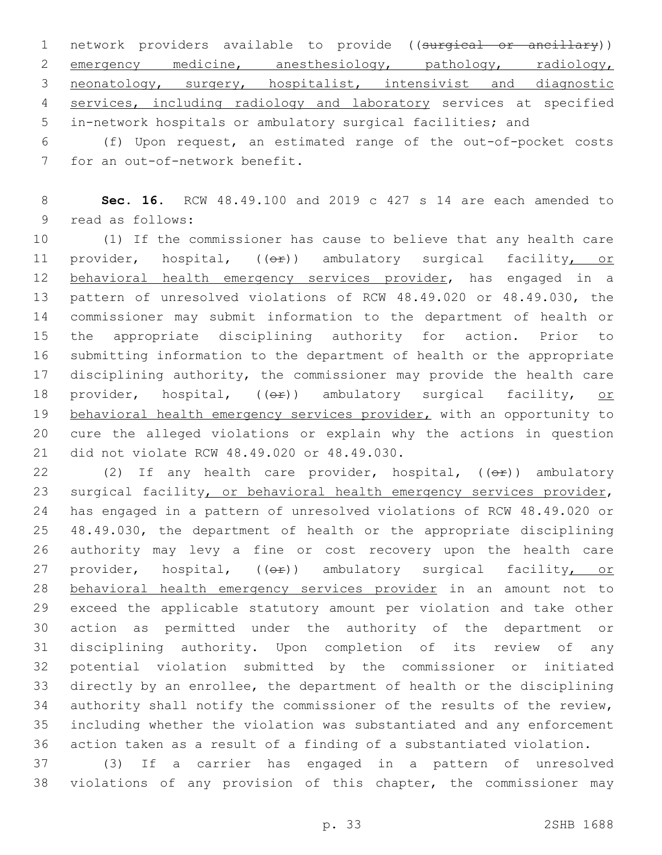1 network providers available to provide ((surgical or ancillary)) 2 emergency medicine, anesthesiology, pathology, radiology, neonatology, surgery, hospitalist, intensivist and diagnostic services, including radiology and laboratory services at specified in-network hospitals or ambulatory surgical facilities; and

 (f) Upon request, an estimated range of the out-of-pocket costs 7 for an out-of-network benefit.

 **Sec. 16.** RCW 48.49.100 and 2019 c 427 s 14 are each amended to 9 read as follows:

 (1) If the commissioner has cause to believe that any health care 11 provider, hospital, (( $\Theta$ )) ambulatory surgical facility, or 12 behavioral health emergency services provider, has engaged in a pattern of unresolved violations of RCW 48.49.020 or 48.49.030, the commissioner may submit information to the department of health or the appropriate disciplining authority for action. Prior to submitting information to the department of health or the appropriate 17 disciplining authority, the commissioner may provide the health care 18 provider, hospital,  $(0 + e)$ ) ambulatory surgical facility, or 19 behavioral health emergency services provider, with an opportunity to cure the alleged violations or explain why the actions in question 21 did not violate RCW 48.49.020 or 48.49.030.

22 (2) If any health care provider, hospital, ((or)) ambulatory 23 surgical facility, or behavioral health emergency services provider, has engaged in a pattern of unresolved violations of RCW 48.49.020 or 48.49.030, the department of health or the appropriate disciplining authority may levy a fine or cost recovery upon the health care 27 provider, hospital, ((OP)) ambulatory surgical facility, or behavioral health emergency services provider in an amount not to exceed the applicable statutory amount per violation and take other action as permitted under the authority of the department or disciplining authority. Upon completion of its review of any potential violation submitted by the commissioner or initiated directly by an enrollee, the department of health or the disciplining authority shall notify the commissioner of the results of the review, including whether the violation was substantiated and any enforcement action taken as a result of a finding of a substantiated violation.

 (3) If a carrier has engaged in a pattern of unresolved violations of any provision of this chapter, the commissioner may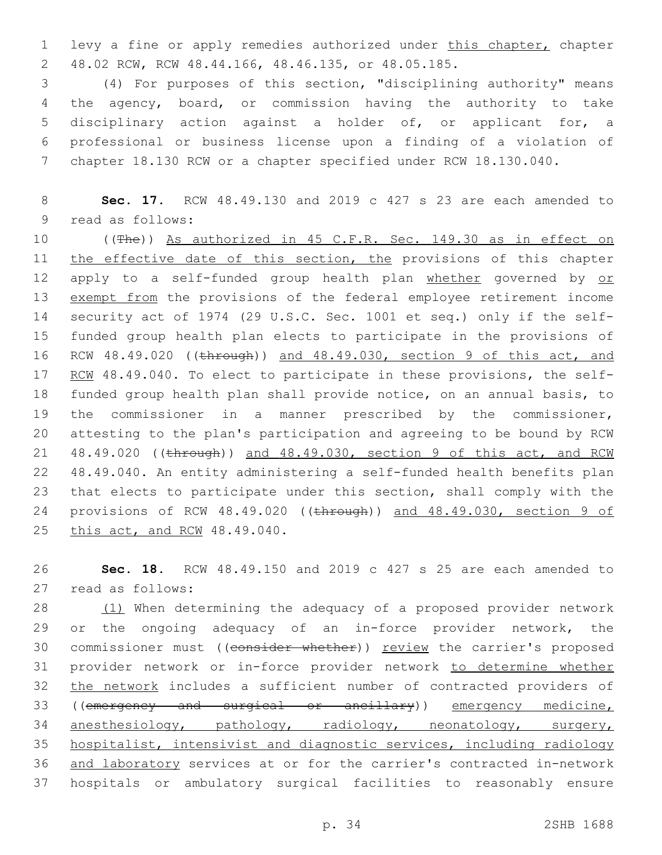1 levy a fine or apply remedies authorized under this chapter, chapter 48.02 RCW, RCW 48.44.166, 48.46.135, or 48.05.185.2

 (4) For purposes of this section, "disciplining authority" means the agency, board, or commission having the authority to take disciplinary action against a holder of, or applicant for, a professional or business license upon a finding of a violation of chapter 18.130 RCW or a chapter specified under RCW 18.130.040.

8 **Sec. 17.** RCW 48.49.130 and 2019 c 427 s 23 are each amended to 9 read as follows:

10 ((The)) As authorized in 45 C.F.R. Sec. 149.30 as in effect on 11 the effective date of this section, the provisions of this chapter 12 apply to a self-funded group health plan whether governed by or 13 exempt from the provisions of the federal employee retirement income 14 security act of 1974 (29 U.S.C. Sec. 1001 et seq.) only if the self-15 funded group health plan elects to participate in the provisions of 16 RCW 48.49.020 ((through)) and 48.49.030, section 9 of this act, and 17 RCM 48.49.040. To elect to participate in these provisions, the self-18 funded group health plan shall provide notice, on an annual basis, to 19 the commissioner in a manner prescribed by the commissioner, 20 attesting to the plan's participation and agreeing to be bound by RCW 21 48.49.020 ((through)) and 48.49.030, section 9 of this act, and RCW 22 48.49.040. An entity administering a self-funded health benefits plan 23 that elects to participate under this section, shall comply with the 24 provisions of RCW 48.49.020 ((through)) and 48.49.030, section 9 of 25 this act, and RCW 48.49.040.

26 **Sec. 18.** RCW 48.49.150 and 2019 c 427 s 25 are each amended to read as follows:27

28 (1) When determining the adequacy of a proposed provider network 29 or the ongoing adequacy of an in-force provider network, the 30 commissioner must ((consider whether)) review the carrier's proposed 31 provider network or in-force provider network to determine whether 32 the network includes a sufficient number of contracted providers of 33 ((emergency and surgical or ancillary)) emergency medicine, 34 anesthesiology, pathology, radiology, neonatology, surgery, 35 hospitalist, intensivist and diagnostic services, including radiology 36 and laboratory services at or for the carrier's contracted in-network 37 hospitals or ambulatory surgical facilities to reasonably ensure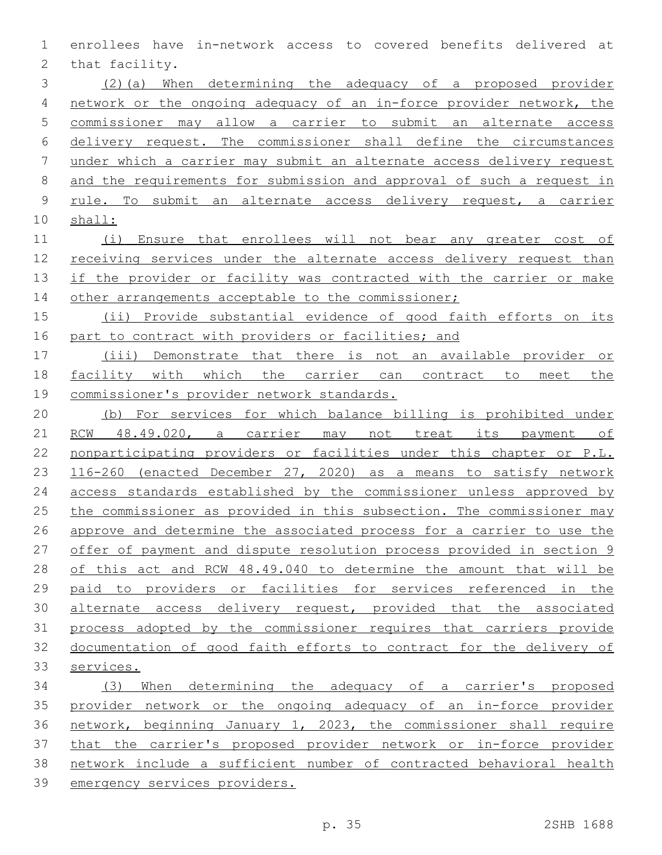enrollees have in-network access to covered benefits delivered at 2 that facility.

- (2)(a) When determining the adequacy of a proposed provider network or the ongoing adequacy of an in-force provider network, the commissioner may allow a carrier to submit an alternate access delivery request. The commissioner shall define the circumstances under which a carrier may submit an alternate access delivery request and the requirements for submission and approval of such a request in rule. To submit an alternate access delivery request, a carrier shall:
- (i) Ensure that enrollees will not bear any greater cost of receiving services under the alternate access delivery request than 13 if the provider or facility was contracted with the carrier or make 14 other arrangements acceptable to the commissioner;
- (ii) Provide substantial evidence of good faith efforts on its 16 part to contract with providers or facilities; and
- (iii) Demonstrate that there is not an available provider or 18 facility with which the carrier can contract to meet the commissioner's provider network standards.
- (b) For services for which balance billing is prohibited under RCW 48.49.020, a carrier may not treat its payment of nonparticipating providers or facilities under this chapter or P.L. 116-260 (enacted December 27, 2020) as a means to satisfy network access standards established by the commissioner unless approved by the commissioner as provided in this subsection. The commissioner may approve and determine the associated process for a carrier to use the offer of payment and dispute resolution process provided in section 9 of this act and RCW 48.49.040 to determine the amount that will be paid to providers or facilities for services referenced in the 30 alternate access delivery request, provided that the associated process adopted by the commissioner requires that carriers provide documentation of good faith efforts to contract for the delivery of services.
- (3) When determining the adequacy of a carrier's proposed provider network or the ongoing adequacy of an in-force provider network, beginning January 1, 2023, the commissioner shall require that the carrier's proposed provider network or in-force provider network include a sufficient number of contracted behavioral health emergency services providers.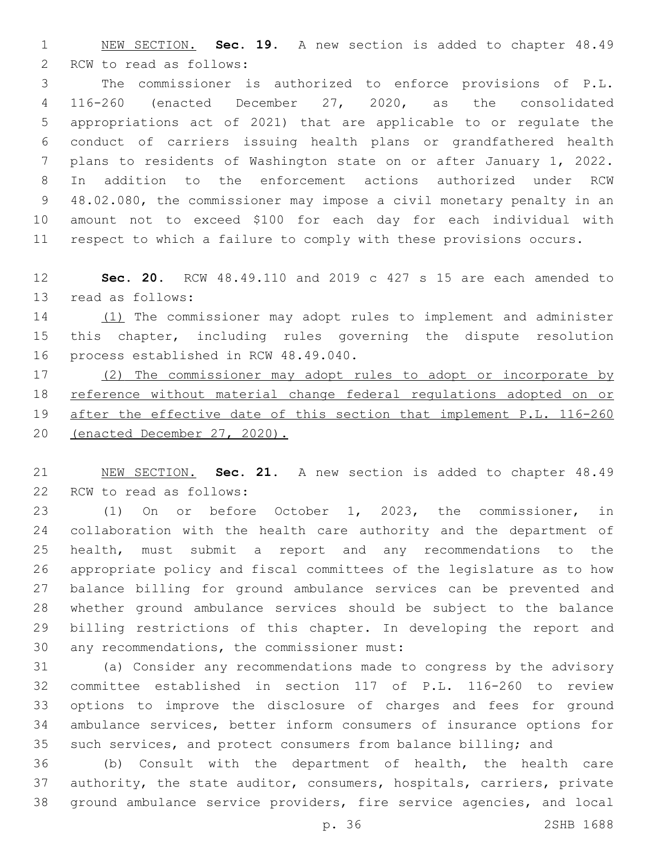NEW SECTION. **Sec. 19.** A new section is added to chapter 48.49 2 RCW to read as follows:

 The commissioner is authorized to enforce provisions of P.L. 116-260 (enacted December 27, 2020, as the consolidated appropriations act of 2021) that are applicable to or regulate the conduct of carriers issuing health plans or grandfathered health plans to residents of Washington state on or after January 1, 2022. In addition to the enforcement actions authorized under RCW 48.02.080, the commissioner may impose a civil monetary penalty in an amount not to exceed \$100 for each day for each individual with respect to which a failure to comply with these provisions occurs.

 **Sec. 20.** RCW 48.49.110 and 2019 c 427 s 15 are each amended to 13 read as follows:

14 (1) The commissioner may adopt rules to implement and administer this chapter, including rules governing the dispute resolution 16 process established in RCW 48.49.040.

 (2) The commissioner may adopt rules to adopt or incorporate by reference without material change federal regulations adopted on or after the effective date of this section that implement P.L. 116-260 (enacted December 27, 2020).

 NEW SECTION. **Sec. 21.** A new section is added to chapter 48.49 22 RCW to read as follows:

 (1) On or before October 1, 2023, the commissioner, in collaboration with the health care authority and the department of health, must submit a report and any recommendations to the appropriate policy and fiscal committees of the legislature as to how balance billing for ground ambulance services can be prevented and whether ground ambulance services should be subject to the balance billing restrictions of this chapter. In developing the report and 30 any recommendations, the commissioner must:

 (a) Consider any recommendations made to congress by the advisory committee established in section 117 of P.L. 116-260 to review options to improve the disclosure of charges and fees for ground ambulance services, better inform consumers of insurance options for such services, and protect consumers from balance billing; and

 (b) Consult with the department of health, the health care authority, the state auditor, consumers, hospitals, carriers, private ground ambulance service providers, fire service agencies, and local

p. 36 2SHB 1688